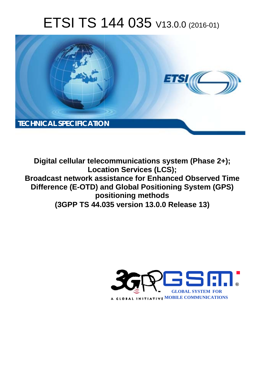# ETSI TS 144 035 V13.0.0 (2016-01)



**Digital cellular telecommunications system (Phase 2+); Locat cation Services (LCS); Broadcast network assistance for Enhanced Observed Time** Difference (E-OTD) and Global Positioning System (GPS) **pos ositioning methods (3GPP TS 44.0 .035 version 13.0.0 Release 13 13)** 

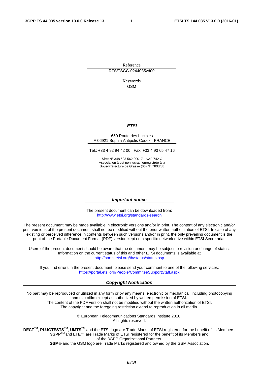Reference RTS/TSGG-0244035vd00

> Keywords GSM

### *ETSI*

#### 650 Route des Lucioles F-06921 Sophia Antipolis Cedex - FRANCE

Tel.: +33 4 92 94 42 00 Fax: +33 4 93 65 47 16

Siret N° 348 623 562 00017 - NAF 742 C Association à but non lucratif enregistrée à la Sous-Préfecture de Grasse (06) N° 7803/88

#### *Important notice*

The present document can be downloaded from: <http://www.etsi.org/standards-search>

The present document may be made available in electronic versions and/or in print. The content of any electronic and/or print versions of the present document shall not be modified without the prior written authorization of ETSI. In case of any existing or perceived difference in contents between such versions and/or in print, the only prevailing document is the print of the Portable Document Format (PDF) version kept on a specific network drive within ETSI Secretariat.

Users of the present document should be aware that the document may be subject to revision or change of status. Information on the current status of this and other ETSI documents is available at <http://portal.etsi.org/tb/status/status.asp>

If you find errors in the present document, please send your comment to one of the following services: <https://portal.etsi.org/People/CommiteeSupportStaff.aspx>

#### *Copyright Notification*

No part may be reproduced or utilized in any form or by any means, electronic or mechanical, including photocopying and microfilm except as authorized by written permission of ETSI.

The content of the PDF version shall not be modified without the written authorization of ETSI. The copyright and the foregoing restriction extend to reproduction in all media.

> © European Telecommunications Standards Institute 2016. All rights reserved.

**DECT**TM, **PLUGTESTS**TM, **UMTS**TM and the ETSI logo are Trade Marks of ETSI registered for the benefit of its Members. **3GPP**TM and **LTE**™ are Trade Marks of ETSI registered for the benefit of its Members and of the 3GPP Organizational Partners.

**GSM**® and the GSM logo are Trade Marks registered and owned by the GSM Association.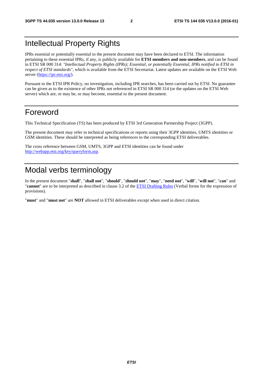# Intellectual Property Rights

IPRs essential or potentially essential to the present document may have been declared to ETSI. The information pertaining to these essential IPRs, if any, is publicly available for **ETSI members and non-members**, and can be found in ETSI SR 000 314: *"Intellectual Property Rights (IPRs); Essential, or potentially Essential, IPRs notified to ETSI in respect of ETSI standards"*, which is available from the ETSI Secretariat. Latest updates are available on the ETSI Web server [\(https://ipr.etsi.org/](https://ipr.etsi.org/)).

Pursuant to the ETSI IPR Policy, no investigation, including IPR searches, has been carried out by ETSI. No guarantee can be given as to the existence of other IPRs not referenced in ETSI SR 000 314 (or the updates on the ETSI Web server) which are, or may be, or may become, essential to the present document.

# Foreword

This Technical Specification (TS) has been produced by ETSI 3rd Generation Partnership Project (3GPP).

The present document may refer to technical specifications or reports using their 3GPP identities, UMTS identities or GSM identities. These should be interpreted as being references to the corresponding ETSI deliverables.

The cross reference between GSM, UMTS, 3GPP and ETSI identities can be found under [http://webapp.etsi.org/key/queryform.asp.](http://webapp.etsi.org/key/queryform.asp)

# Modal verbs terminology

In the present document "**shall**", "**shall not**", "**should**", "**should not**", "**may**", "**need not**", "**will**", "**will not**", "**can**" and "**cannot**" are to be interpreted as described in clause 3.2 of the [ETSI Drafting Rules](http://portal.etsi.org/Help/editHelp!/Howtostart/ETSIDraftingRules.aspx) (Verbal forms for the expression of provisions).

"**must**" and "**must not**" are **NOT** allowed in ETSI deliverables except when used in direct citation.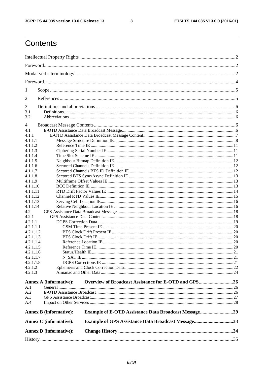$\mathbf{3}$ 

# Contents

| 1          |                               |                                                           |  |
|------------|-------------------------------|-----------------------------------------------------------|--|
| 2          |                               |                                                           |  |
| 3          |                               |                                                           |  |
| 3.1<br>3.2 |                               |                                                           |  |
| 4          |                               |                                                           |  |
| 4.1        |                               |                                                           |  |
|            |                               |                                                           |  |
| 4.1.1      |                               |                                                           |  |
| 4.1.1.1    |                               |                                                           |  |
| 4.1.1.2    |                               |                                                           |  |
| 4.1.1.3    |                               |                                                           |  |
| 4.1.1.4    |                               |                                                           |  |
| 4.1.1.5    |                               |                                                           |  |
| 4.1.1.6    |                               |                                                           |  |
| 4.1.1.7    |                               |                                                           |  |
|            |                               |                                                           |  |
| 4.1.1.8    |                               |                                                           |  |
| 4.1.1.9    |                               |                                                           |  |
| 4.1.1.10   |                               |                                                           |  |
| 4.1.1.11   |                               |                                                           |  |
| 4.1.1.12   |                               |                                                           |  |
| 4.1.1.13   |                               |                                                           |  |
| 4.1.1.14   |                               |                                                           |  |
| 4.2        |                               |                                                           |  |
| 4.2.1      |                               |                                                           |  |
|            |                               |                                                           |  |
| 4.2.1.1    |                               |                                                           |  |
| 4.2.1.1.1  |                               |                                                           |  |
| 4.2.1.1.2  |                               |                                                           |  |
| 4.2.1.1.3  |                               |                                                           |  |
| 4.2.1.1.4  |                               |                                                           |  |
| 4.2.1.1.5  |                               |                                                           |  |
| 4.2.1.1.6  |                               |                                                           |  |
| 4.2.1.1.7  |                               |                                                           |  |
| 4.2.1.1.8  |                               |                                                           |  |
|            |                               |                                                           |  |
| 4.2.1.2    |                               |                                                           |  |
| 4.2.1.3    |                               |                                                           |  |
|            |                               |                                                           |  |
|            | <b>Annex A (informative):</b> | Overview of Broadcast Assistance for E-OTD and GPS26      |  |
| A.1        |                               |                                                           |  |
| A.2        |                               |                                                           |  |
| A.3        |                               |                                                           |  |
| A.4        |                               |                                                           |  |
|            | <b>Annex B (informative):</b> | Example of E-OTD Assistance Data Broadcast Message29      |  |
|            | <b>Annex C</b> (informative): | <b>Example of GPS Assistance Data Broadcast Message33</b> |  |
|            | <b>Annex D</b> (informative): |                                                           |  |
|            |                               |                                                           |  |
|            |                               |                                                           |  |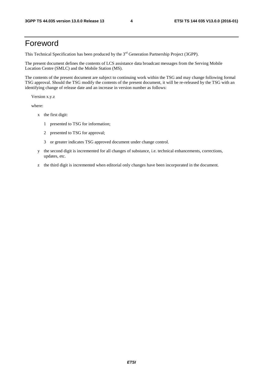# Foreword

This Technical Specification has been produced by the 3<sup>rd</sup> Generation Partnership Project (3GPP).

The present document defines the contents of LCS assistance data broadcast messages from the Serving Mobile Location Centre (SMLC) and the Mobile Station (MS).

The contents of the present document are subject to continuing work within the TSG and may change following formal TSG approval. Should the TSG modify the contents of the present document, it will be re-released by the TSG with an identifying change of release date and an increase in version number as follows:

Version x.y.z

where:

- x the first digit:
	- 1 presented to TSG for information;
	- 2 presented to TSG for approval;
	- 3 or greater indicates TSG approved document under change control.
- y the second digit is incremented for all changes of substance, i.e. technical enhancements, corrections, updates, etc.
- z the third digit is incremented when editorial only changes have been incorporated in the document.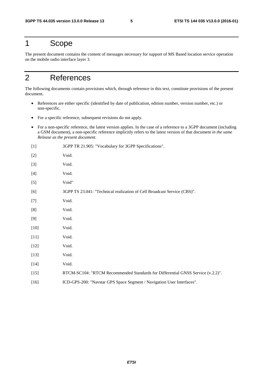# 1 Scope

The present document contains the content of messages necessary for support of MS Based location service operation on the mobile radio interface layer 3.

# 2 References

The following documents contain provisions which, through reference in this text, constitute provisions of the present document.

- References are either specific (identified by date of publication, edition number, version number, etc.) or non-specific.
- For a specific reference, subsequent revisions do not apply.
- For a non-specific reference, the latest version applies. In the case of a reference to a 3GPP document (including a GSM document), a non-specific reference implicitly refers to the latest version of that document *in the same Release as the present document*.

| $[1]$  | 3GPP TR 21.905: "Vocabulary for 3GPP Specifications".                           |
|--------|---------------------------------------------------------------------------------|
| $[2]$  | Void.                                                                           |
| $[3]$  | Void.                                                                           |
| $[4]$  | Void.                                                                           |
| $[5]$  | Void"                                                                           |
| [6]    | 3GPP TS 23.041: "Technical realization of Cell Broadcast Service (CBS)".        |
| $[7]$  | Void.                                                                           |
| [8]    | Void.                                                                           |
| [9]    | Void.                                                                           |
| $[10]$ | Void.                                                                           |
| $[11]$ | Void.                                                                           |
| $[12]$ | Void.                                                                           |
| $[13]$ | Void.                                                                           |
| $[14]$ | Void.                                                                           |
| $[15]$ | RTCM-SC104: "RTCM Recommended Standards for Differential GNSS Service (v.2.2)". |
| $[16]$ | ICD-GPS-200: "Navstar GPS Space Segment / Navigation User Interfaces".          |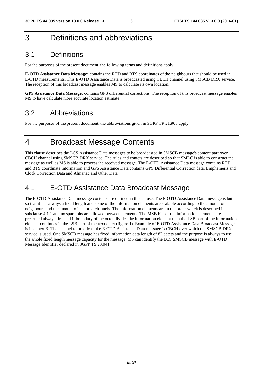# 3 Definitions and abbreviations

# 3.1 Definitions

For the purposes of the present document, the following terms and definitions apply:

**E-OTD Assistance Data Message:** contains the RTD and BTS coordinates of the neighbours that should be used in E-OTD measurements. This E-OTD Assistance Data is broadcasted using CBCH channel using SMSCB DRX service. The reception of this broadcast message enables MS to calculate its own location.

**GPS Assistance Data Message:** contains GPS differential corrections. The reception of this broadcast message enables MS to have calculate more accurate location estimate.

# 3.2 Abbreviations

For the purposes of the present document, the abbreviations given in 3GPP TR 21.905 apply.

# 4 Broadcast Message Contents

This clause describes the LCS Assistance Data messages to be broadcasted in SMSCB message's content part over CBCH channel using SMSCB DRX service. The rules and contets are described so that SMLC is able to construct the message as well as MS is able to process the received message. The E-OTD Assistance Data message contains RTD and BTS coordinate information and GPS Assistance Data contains GPS Differential Correction data, Emphemeris and Clock Correction Data and Almanac and Other Data.

# 4.1 E-OTD Assistance Data Broadcast Message

The E-OTD Assistance Data message contents are defined in this clause. The E-OTD Assistance Data message is built so that it has always a fixed length and some of the information elements are scalable according to the amount of neighbours and the amount of sectored channels. The information elements are in the order which is described in subclause 4.1.1 and no spare bits are allowed between elements. The MSB bits of the information elements are presented always first and if boundary of the octet divides the information element then the LSB part of the information element continues in the LSB part of the next octet (figure 1). Example of E-OTD Assistance Data Broadcast Message is in annex B. The channel to broadcast the E-OTD Assistance Data message is CBCH over which the SMSCB DRX service is used. One SMSCB message has fixed information data length of 82 octets and the purpose is always to use the whole fixed length message capacity for the message. MS can identify the LCS SMSCB message with E-OTD Message Identifier declared in 3GPP TS 23.041.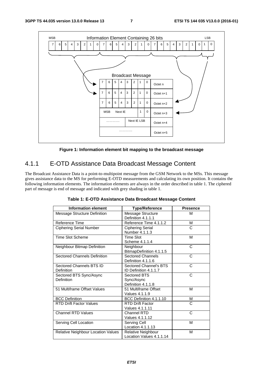

**Figure 1: Information element bit mapping to the broadcast message** 

# 4.1.1 E-OTD Assistance Data Broadcast Message Content

The Broadcast Assistance Data is a point-to-multipoint message from the GSM Network to the MSs. This message gives assistance data to the MS for performing E-OTD measurements and calculating its own position. It contains the following information elements. The information elements are always in the order described in table 1. The ciphered part of message is end of message and indicated with grey shading in table 1.

| <b>Information element</b>             | <b>Type/Reference</b>                            | <b>Presence</b> |
|----------------------------------------|--------------------------------------------------|-----------------|
| Message Structure Definition           | Message Structure<br>Definition 4.1.1.1          | M               |
| Reference Time                         | Reference Time 4.1.1.2                           | м               |
| <b>Ciphering Serial Number</b>         | <b>Ciphering Serial</b><br>Number 4.1.1.3        | C               |
| <b>Time Slot Scheme</b>                | <b>Time Slot</b><br>Scheme 4.1.1.4               | М               |
| Neighbour Bitmap Definition            | Neighbour<br>BitmapDefinition 4.1.1.5            | C               |
| <b>Sectored Channels Definition</b>    | <b>Sectored Channels</b><br>Definition 4.1.1.6   | C               |
| Sectored Channels BTS ID<br>Definition | Sectored Channel's BTS<br>ID Definition 4.1.1.7  | C               |
| Sectored BTS Sync/Async<br>Definition  | Sectored BTS<br>Sync/Async<br>Definition 4.1.1.8 | C               |
| 51 Multiframe Offset Values            | 51 Multiframe Offset<br>Values 4.1.1.9           | M               |
| <b>BCC Definition</b>                  | BCC Definition 4.1.1.10                          | М               |
| <b>RTD Drift Factor Values</b>         | <b>RTD Drift Factor</b><br>Values 4.1.1.11       | C               |
| <b>Channel RTD Values</b>              | Channel RTD<br>Values 4.1.1.12                   | C               |
| Serving Cell Location                  | Serving Cell<br>Location 4.1.1.13                | M               |
| Relative Neighbour Location Values     | Relative Neighbour<br>Location Values 4.1.1.14   | М               |

**Table 1: E-OTD Assistance Data Broadcast Message Content**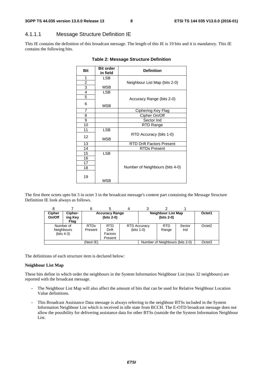### 4.1.1.1 Message Structure Definition IE

This IE contains the definition of this broadcast message. The length of this IE is 19 bits and it is mandatory. This IE contains the following bits.

| <b>Bit</b>     | <b>Bit order</b><br>in field | <b>Definition</b>                |  |  |
|----------------|------------------------------|----------------------------------|--|--|
| 1              | <b>LSB</b>                   |                                  |  |  |
| 2              |                              | Neighbour List Map (bits 2-0)    |  |  |
| 3              | MSB                          |                                  |  |  |
| 4              | <b>LSB</b>                   |                                  |  |  |
| 5              |                              | Accuracy Range (bits 2-0)        |  |  |
| 6              | MSB                          |                                  |  |  |
| $\overline{7}$ |                              | Ciphering Key Flag               |  |  |
| 8              |                              | Cipher On/Off                    |  |  |
| 9              |                              | Sector Ind                       |  |  |
| 10             |                              | RTD Range                        |  |  |
| 11             | <b>LSB</b>                   |                                  |  |  |
| 12             | MSB                          | RTD Accuracy (bits 1-0)          |  |  |
| 13             |                              | <b>RTD Drift Factors Present</b> |  |  |
| 14             |                              | <b>RTDs Present</b>              |  |  |
| 15             | <b>LSB</b>                   |                                  |  |  |
| 16             |                              |                                  |  |  |
| 17             |                              |                                  |  |  |
| 18             |                              | Number of Neighbours (bits 4-0)  |  |  |
| 19             | MSB                          |                                  |  |  |

#### **Table 2: Message Structure Definition**

The first three octets upto bit 3 in octet 3 in the broadcast message's content part containing the Message Structure Definition IE look always as follows.

| <b>Cipher</b><br>On/Off                  | Cipher-<br>ing Key<br>Flag | <b>Accuracy Range</b><br>(bits 2-0) |                                           |  |                                     | Neighbour List Map<br>(bits 2-0) |               | Octet1             |
|------------------------------------------|----------------------------|-------------------------------------|-------------------------------------------|--|-------------------------------------|----------------------------------|---------------|--------------------|
| Number of<br>Neighbours<br>(bits $4-3$ ) |                            | <b>RTDs</b><br>Present              | <b>RTD</b><br>Drift<br>Factors<br>Present |  | <b>RTD Accuracy</b><br>$(bits 1-0)$ | <b>RTD</b><br>Range              | Sector<br>Ind | Octet <sub>2</sub> |
| (Next IE)                                |                            |                                     |                                           |  |                                     | Number of Neighbours (bits 2-0)  |               | Octet <sub>3</sub> |

The definitions of each structure item is declared below:

#### **Neighbour List Map**

These bits define in which order the neighbours in the System Information Neighbour List (max 32 neighbours) are reported with the broadcast message.

- The Neighbour List Map will also affect the amount of bits that can be used for Relative Neighbour Location Value definitions.
- This Broadcast Assistance Data message is always referring to the neighbour BTSs included in the System Information Neighbour List which is received in idle state from BCCH. The E-OTD broadcast message does not allow the possibility for delivering assistance data for other BTSs (outside the the System Information Neighbour List.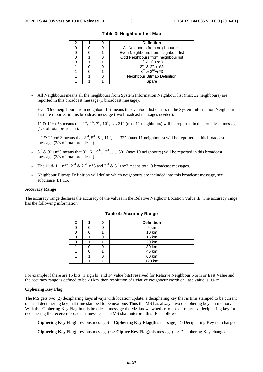|  | <b>Definition</b>                   |  |  |
|--|-------------------------------------|--|--|
|  | All Neigbours from neighbour list   |  |  |
|  | Even Neighbours from neighbour list |  |  |
|  | Odd Neighbours from neighbour list  |  |  |
|  | $1st$ & $1st + n*3$                 |  |  |
|  | $2^{nd}$ & $2^{nd}$ +n*3            |  |  |
|  | $3^{rd}$ & $3^{rd}$ +n*3            |  |  |
|  | Neighbour Bitmap Definition         |  |  |
|  | Spare                               |  |  |

**Table 3: Neighbour List Map** 

- All Neighbours means all the neighbours from System Information Neighbour list (max 32 neighbours) are reported in this broadcast message (1 broadcast message).
- Even/Odd neighbours from neighbour list means the even/odd list entries in the System Information Neighbour List are reported in this broadcast message (two broadcast messages needed).
- $1^{st}$  &  $1^{st}$  + n\*3 means that  $1^{st}$ ,  $4^{th}$ ,  $7^{th}$ ,  $10^{th}$ , ...,  $31^{st}$  (max 11 neighbours) will be reported in this broadcast message (1/3 of total broadcast).
- $2^{nd}$  &  $2^{nd}$ +n\*3 means that  $2^{nd}$ ,  $5^{th}$ ,  $8^{th}$ ,  $11^{th}$ , …,  $32^{nd}$  (max 11 neighbours) will be reported in this broadcast message (2/3 of total broadcast).
- $3^{\text{rd}}$  &  $3^{\text{rd}}+n*3$  means that  $3^{\text{rd}}, 6^{\text{th}}, 9^{\text{th}}, 12^{\text{th}}, ..., 30^{\text{th}}$  (max 10 neighbours) will be reported in this broadcast message (3/3 of total broadcast).
- The 1<sup>st</sup> & 1<sup>st</sup>+n\*3, 2<sup>nd</sup> & 2<sup>nd</sup>+n\*3 and 3<sup>rd</sup> & 3<sup>rd</sup>+n\*3 means total 3 broadcast messages.
- Neighbour Bitmap Definition will define which neighbours are included into this broadcast message, see subclause 4.1.1.5.

#### **Accuracy Range**

The accuracy range declares the accuracy of the values in the Relative Neigbour Location Value IE. The accuracy range has the following information.

| າ |  | <b>Definition</b> |
|---|--|-------------------|
|   |  | 5 km              |
|   |  | 10 km             |
|   |  | 15 km             |
|   |  | 20 km             |
|   |  | 30 km             |
|   |  | 45 km             |
|   |  | 60 km             |
|   |  | 120 km            |

#### **Table 4: Accuracy Range**

For example if there are 15 bits (1 sign bit and 14 value bits) reserved for Relative Neighbour North or East Value and the accuracy range is defined to be 20 km, then resolution of Relative Neighbour North or East Value is 0.6 m.

#### **Ciphering Key Flag**

The MS gets two (2) deciphering keys always with location update, a deciphering key that is time stamped to be current one and deciphering key that time stamped to be next one. Thus the MS has always two deciphering keys in memory. With this Ciphering Key Flag in this broadcast message the MS knows whether to use current/next deciphering key for deciphering the received broadcast message. The MS shall interpret this IE as follows:

- **Ciphering Key Flag**(previous message) = **Ciphering Key Flag**(this message) => Deciphering Key not changed.
- **Ciphering Key Flag**(previous message) <> **Cipher Key Flag**(this message) => Deciphering Key changed.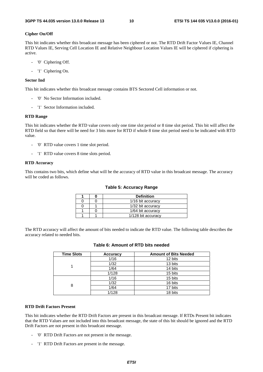#### **Cipher On/Off**

This bit indicates whether this broadcast message has been ciphered or not. The RTD Drift Factor Values IE, Channel RTD Values IE, Serving Cell Location IE and Relative Neighbour Location Values IE will be ciphered if ciphering is active.

- '0' Ciphering Off.
- '1' Ciphering On.

#### **Sector Ind**

This bit indicates whether this broadcast message contains BTS Sectored Cell information or not.

- '0' No Sector Information included.
- '1' Sector Information included.

#### **RTD Range**

This bit indicates whether the RTD value covers only one time slot period or 8 time slot period. This bit will affect the RTD field so that there will be need for 3 bits more for RTD if whole 8 time slot period need to be indicated with RTD value.

- '0' RTD value covers 1 time slot period.
- '1' RTD value covers 8 time slots period.

#### **RTD Accuracy**

This contains two bits, which define what will be the accuracy of RTD value in this broadcast message. The accuracy will be coded as follows.

#### **Table 5: Accuracy Range**

|  | <b>Definition</b>  |
|--|--------------------|
|  | 1/16 bit accuracy  |
|  | 1/32 bit accuracy  |
|  | 1/64 bit accuracy  |
|  | 1/128 bit accuracy |

The RTD accuracy will affect the amount of bits needed to indicate the RTD value. The following table describes the accuracy related to needed bits.

| <b>Time Slots</b> | <b>Accuracy</b> | <b>Amount of Bits Needed</b> |
|-------------------|-----------------|------------------------------|
|                   | 1/16            | 12 bits                      |
|                   | 1/32            | 13 bits                      |
|                   | 1/64            | 14 bits                      |
|                   | 1/128           | 15 bits                      |
|                   | 1/16            | 15 bits                      |
| 8                 | 1/32            | 16 bits                      |
|                   | 1/64            | 17 bits                      |
|                   | 1/128           | 18 bits                      |

### **Table 6: Amount of RTD bits needed**

#### **RTD Drift Factors Present**

This bit indicates whether the RTD Drift Factors are present in this broadcast message. If RTDs Present bit indicates that the RTD Values are not included into this broadcast message, the state of this bit should be ignored and the RTD Drift Factors are not present in this broadcast message.

- '0' RTD Drift Factors are not present in the message.
- '1' RTD Drift Factors are present in the message.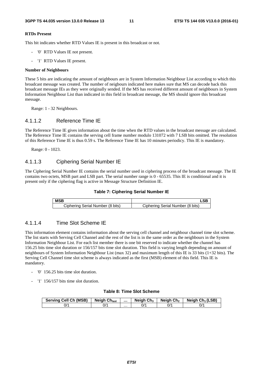#### **RTDs Present**

This bit indicates whether RTD Values IE is present in this broadcast or not.

- '0' RTD Values IE not present.
- '1' RTD Values IE present.

#### **Number of Neighbours**

These 5 bits are indicating the amount of neighbours are in System Information Neighbour List according to which this broadcast message was created. The number of neigbours indicated here makes sure that MS can decode back this broadcast message IEs as they were originally sended. If the MS has received different amount of neighbours in System Information Neighbour List than indicated in this field in broadcast message, the MS should ignore this broadcast message.

Range: 1 - 32 Neighbours.

### 4.1.1.2 Reference Time IE

The Reference Time IE gives information about the time when the RTD values in the broadcast message are calculated. The Reference Time IE contains the serving cell frame number modulo 131072 with 7 LSB bits omitted. The resolution of this Reference Time IE is thus 0.59 s. The Reference Time IE has 10 minutes periodicy. This IE is mandatory.

Range: 0 - 1023.

### 4.1.1.3 Ciphering Serial Number IE

The Ciphering Serial Number IE contains the serial number used in ciphering process of the broadcast message. The IE contains two octets, MSB part and LSB part. The serial number range is 0 - 65535. This IE is conditional and it is present only if the ciphering flag is active in Message Structure Definition IE.



| <b>MSB</b>                       |                                  |
|----------------------------------|----------------------------------|
| Ciphering Serial Number (8 bits) | Ciphering Serial Number (8 bits) |

### 4.1.1.4 Time Slot Scheme IE

This information element contains information about the serving cell channel and neighbour channel time slot scheme. The list starts with Serving Cell Channel and the rest of the list is in the same order as the neighbours in the System Information Neighbour List. For each list member there is one bit reserved to indicate whether the channel has 156.25 bits time slot duration or 156/157 bits time slot duration. This field is varying length depending on amount of neighbours of System Information Neighbour List (max 32) and maximum length of this IE is 33 bits (1+32 bits). The Serving Cell Channel time slot scheme is always indicated as the first (MSB) element of this field. This IE is mandatory.

- '0' 156.25 bits time slot duration.
- '1' 156/157 bits time slot duration.

#### **Table 8: Time Slot Scheme**

| <b>Serving Cell Ch (MSB)</b> | <b>Neigh Ch<sub>last</sub></b> |   | Neigh $Ch3$ | Neigh Ch <sub>2</sub> | Neigh $Ch_1(LSB)$ |
|------------------------------|--------------------------------|---|-------------|-----------------------|-------------------|
| J/1                          | 0/٠                            | . | 0/'         | 0/1                   | ^/0               |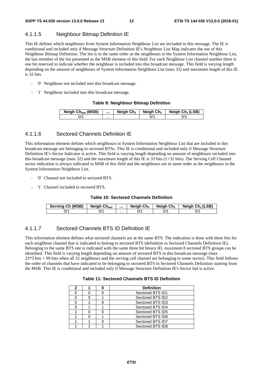### 4.1.1.5 Neighbour Bitmap Definition IE

This IE defines which neighbours from System Information Neighbour List are included in this message. The IE is conditional and included only if Message Structure Definition IE's Neighbour List Map indicates the use of this Neighbour Bitmap Definition. The list is in the same order as the neighbours in the System Information Neighbour List, the last member of the list presented as the MSB element of this field. For each Neighbour List channel number there is one bit reserved to indicate whether the neighbour is included into this broadcast message. This field is varying length depending on the amount of neighbours of System Information Neighbour List (max 32) and maximum length of this IE is 32 bits.

- '0' Neighbour not included into this broadcast message.
- '1' Neighbour included into this broadcast message.

#### **Table 9: Neighbour Bitmap Definition**

| Neigh Ch <sub>last</sub> (MSB) |   | Neigh $Ch3$ | Neigh Ch <sub>2</sub> | Neigh $Ch_1(LSB)$ |
|--------------------------------|---|-------------|-----------------------|-------------------|
| $J^{\prime}$                   | . |             |                       |                   |

### 4.1.1.6 Sectored Channels Definition IE

This information element defines which neighbours in System Information Neighbour List that are included in this broadcast message are belonging to sectored BTSs. This IE is conditional and included only if Message Structure Definition IE's Sector Indicator is active. This field is varying length depending on amount of neighbours included into this broadcast message (max 32) and the maximum length of this IE is 33 bits (1+32 bits). The Serving Cell Channel sector indication is always indicated in MSB of this field and the neighbours are in same order as the neighbours in the System Information Neighbour List.

- '0' Channel not included to sectored BTS.
- '1' Channel included to sectored BTS.

#### **Table 10: Sectored Channels Definition**

| <b>Serving Ch (MSB)</b> | <b>Neigh Chlast</b> |   | Neigh $Ch_3$ | Neiah Ch2 | Neigh $Ch_1(LSB)$ |
|-------------------------|---------------------|---|--------------|-----------|-------------------|
| 0/'                     | 0/1                 | . |              | ^/0       | 0/1               |

### 4.1.1.7 Sectored Channels BTS ID Definition IE

This information element defines what sectored channels are at the same BTS. The indication is done with three bits for each neighbour channel that is indicated to belong to sectored BTS (definition in Sectored Channels Definition IE). Belonging to the same BTS site is indicated with the same three bit binary ID, maximum 8 sectored BTS groups can be identified. This field is varying length depending on amount of sectored BTS in this broadcast message (max 33\*3 bits = 99 bits when all 32 neighbours and the serving cell channel are belonging to some sector). This field follows the order of channels that have indicated to be belonging to sectored BTS in Sectored Channels Definition starting from the MSB. This IE is conditional and included only if Message Structure Definition IE's Sector Ind is active.

#### **Table 11: Sectored Channels BTS ID Definition**

| 2 |  | <b>Definition</b> |
|---|--|-------------------|
|   |  | Sectored BTS ID1  |
|   |  | Sectored BTS ID2  |
|   |  | Sectored BTS ID3  |
|   |  | Sectored BTS ID4  |
|   |  | Sectored BTS ID5  |
|   |  | Sectored BTS ID6  |
|   |  | Sectored BTS ID7  |
|   |  | Sectored BTS ID8  |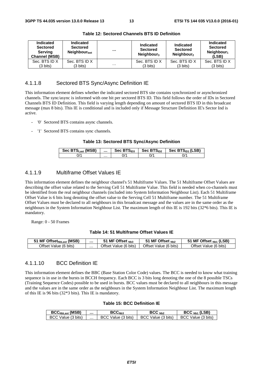| <b>Indicated</b><br><b>Sectored</b><br>Serving<br><b>Channel (MSB)</b> | <b>Indicated</b><br><b>Sectored</b><br>Neighbour <sub>last</sub> | $\cdots$ | Indicated<br><b>Sectored</b><br>Neighbour <sub>3</sub> | <b>Indicated</b><br><b>Sectored</b><br>Neighbour <sub>2</sub> | Indicated<br><b>Sectored</b><br>Neighbour $_1$<br>(LSB) |
|------------------------------------------------------------------------|------------------------------------------------------------------|----------|--------------------------------------------------------|---------------------------------------------------------------|---------------------------------------------------------|
| Sec. BTS ID X                                                          | Sec. BTS ID X                                                    |          | Sec. BTS ID X                                          | Sec. BTS ID X                                                 | Sec. BTS ID X                                           |
| $(3 \text{ bits})$                                                     | $(3 \text{ bits})$                                               | $\cdots$ | $(3 \text{ bits})$                                     | $(3 \text{ bits})$                                            | $(3 \text{ bits})$                                      |

**Table 12: Sectored Channels BTS ID Definition** 

### 4.1.1.8 Sectored BTS Sync/Async Definition IE

This information element defines whether the indicated sectored BTS site contains synchronized or asynchronized channels. The sync/async is informed with one bit per sectored BTS ID. This field follows the order of IDs in Sectored Channels BTS ID Definition. This field is varying length depending on amount of sectored BTS ID in this broadcast message (max 8 bits). This IE is conditional and is included only if Message Structure Definition IE's Sector Ind is active.

- '0' Sectored BTS contains async channels.
- '1' Sectored BTS contains sync channels.

#### **Table 13: Sectored BTS Sync/Async Definition**

| Sec BTS <sub>Last</sub> (MSB) |   | Sec $BTS1D3$ | Sec $BTSID2$ | Sec BTS <sub>ID1</sub> (LSB) |
|-------------------------------|---|--------------|--------------|------------------------------|
| $J^{\prime}$                  | . |              | J/           | J/'                          |

### 4.1.1.9 Multiframe Offset Values IE

This information element defines the neighbour channel's 51 Multiframe Values. The 51 Multiframe Offset Values are describing the offset value related to the Serving Cell 51 Multiframe Value. This field is needed when co-channels must be identified from the real neighbour channels (included into System Information Neighbour List). Each 51 Multiframe Offset Value is 6 bits long denoting the offset value to the Serving Cell 51 Multiframe number. The 51 Multiframe Offset Values must be declared to all neighbours in this broadcast message and the values are in the same order as the neighbours in the System Information Neighbour List. The maximum length of this IE is 192 bits (32\*6 bits). This IE is mandatory.

Range: 0 - 50 Frames

#### **Table 14: 51 Multiframe Offset Values IE**

| I MF Offset <sub>NbLast</sub> (MSB) |   | MF Offset $_{Nb3}$         | $MF$ Offset $_{Nb2}$  | (LSB)<br>MF Offset <sub>Nb1</sub> |
|-------------------------------------|---|----------------------------|-----------------------|-----------------------------------|
| Offset Value (6 bits)               | . | )ttset ∶<br>Value (6 bits) | Offset Value (6 bits) | $O$ ffset<br>Value (6 bits)       |

#### 4.1.1.10 BCC Definition IE

This information element defines the BBC (Base Station Color Code) values. The BCC is needed to know what training sequence is in use in the bursts in BCCH frequency. Each BCC is 3 bits long denoting the one of the 8 possible TSCs (Training Sequence Codes) possible to be used in bursts. BCC values must be declared to all neighbours in this message and the values are in the same order as the neighbours in the System Information Neighbour List. The maximum length of this IE is 96 bits (32\*3 bits). This IE is mandatory.

#### **Table 15: BCC Definition IE**

| <b>BCC<sub>NbLast</sub></b> (MSB) |   | BCC <sub>Nh3</sub>     | BCC <sub>Nh2</sub> | $BCCNb1$ (LSB)     |
|-----------------------------------|---|------------------------|--------------------|--------------------|
| BCC Value (3 bits)                | . | Value (3 bits)<br>BCC. | BCC Value (3 bits) | BCC Value (3 bits) |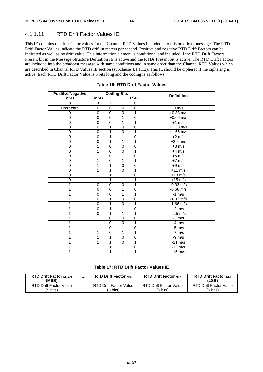## 4.1.1.11 RTD Drift Factor Values IE

This IE contains the drift factor values for the Channel RTD Values included into this broadcast message. The RTD Drift Factor Values indicate the RTD drift in meters per second. Positive and negative RTD Drift Factors can be indicated as well as no drift value. This information element is conditional and included if the RTD Drift Factors Present bit in the Message Structure Definition IE is active and the RTDs Present bit is active. The RTD Drift Factors are included into the broadcast message with same conditions and in same order than the Channel RTD Values which are described in Channel RTD Values IE section (subclause 4.1.1.12). This IE should be ciphered if the ciphering is active. Each RTD Drift Factor Value is 5 bits long and the coding is as follows:

| <b>Positive/Negative</b> |                |                | <b>Coding Bits</b> |             | <b>Definition</b>   |
|--------------------------|----------------|----------------|--------------------|-------------|---------------------|
| <b>MSB</b>               | <b>MSB</b>     |                |                    | <b>LSB</b>  |                     |
| 3                        | 3              | $\mathbf 2$    | 1                  | 0           |                     |
| Don't care               | 0              | $\mathbf 0$    | 0                  | $\mathbf 0$ | $0 \frac{m}{s}$     |
| 0                        | 0              | 0              | 0                  | 1           | $+0.33$ m/s         |
| $\overline{0}$           | $\overline{0}$ | $\overline{0}$ | $\overline{1}$     | $\mathbf 0$ | $+0.66$ m/s         |
| $\overline{0}$           | $\mathbf 0$    | $\mathbf 0$    | 1                  | 1           | $+1$ m/s            |
| 0                        | 0              | 1              | 0                  | $\mathbf 0$ | $+1.33$ m/s         |
| 0                        | $\mathbf 0$    | 1              | $\mathbf 0$        | 1           | $+1.66$ m/s         |
| $\mathbf 0$              | $\mathbf 0$    | 1              | 1                  | $\mathbf 0$ | $+2$ m/s            |
| $\pmb{0}$                | $\mathbf 0$    | 1              | 1                  | 1           | $+2.5$ m/s          |
| 0                        | 1              | $\Omega$       | $\Omega$           | $\mathbf 0$ | $+3$ m/s            |
| 0                        | 1              | $\mathbf 0$    | 0                  | 1           | $+4$ m/s            |
| $\mathbf 0$              | 1              | $\mathbf 0$    | 1                  | $\mathbf 0$ | $+5$ m/s            |
| $\mathbf 0$              | 1              | $\mathbf 0$    | 1                  | 1           | $+7$ m/s            |
| $\mathbf 0$              | 1              | 1              | $\Omega$           | $\mathbf 0$ | $+9$ m/s            |
| $\mathbf 0$              | 1              | 1              | $\mathbf 0$        | 1           | $+11$ m/s           |
| $\mathbf 0$              | 1              | 1              | 1                  | $\mathbf 0$ | $+13$ m/s           |
| 0                        | 1              | 1              | 1                  | 1           | $+15$ m/s           |
| 1                        | 0              | $\mathbf 0$    | $\mathbf 0$        | 1           | $-0.33$ m/s         |
| 1                        | $\mathbf 0$    | $\Omega$       | 1                  | $\Omega$    | $-0.66$ m/s         |
| 1                        | $\mathbf 0$    | 0              | 1                  | 1           | $-1$ m/s            |
| 1                        | 0              | 1              | 0                  | 0           | $-1.33$ m/s         |
| 1                        | 0              | 1              | $\mathbf 0$        | 1           | $-1.66 \text{ m/s}$ |
|                          | $\Omega$       | 1              | 1                  | $\Omega$    | $-2$ m/s            |
| 1                        | $\mathbf 0$    | 1              | $\overline{1}$     | 1           | $-2.5$ m/s          |
| 1                        | 1              | $\mathbf 0$    | $\mathbf 0$        | $\mathbf 0$ | $-3$ m/s            |
| 1                        | 1              | $\mathbf 0$    | 0                  | 1           | $-4$ m/s            |
| 1                        | 1              | $\mathbf 0$    | 1                  | $\mathbf 0$ | $-5 \text{ m/s}$    |
| 1                        | 1              | $\mathbf 0$    | 1                  | 1           | $-7$ m/s            |
| 1                        | 1              | 1              | $\overline{0}$     | $\mathbf 0$ | $-9$ m/s            |
| 1                        | 1              | 1              | 0                  | 1           | $-11$ m/s           |
| 1                        | 1              | 1              | 1                  | 0           | $-13$ m/s           |
| 1                        | 1              | 1              | 1                  | 1           | $-15$ m/s           |

#### **Table 16: RTD Drift Factor Values**

### **Table 17: RTD Drift Factor Values IE**

| <b>RTD Drift Factor NbLast</b><br>(MSB) |   | <b>RTD Drift Factor Nh3</b>   | <b>RTD Drift Factor Nb2</b>   | <b>RTD Drift Factor Nh1</b><br>(LSB) |
|-----------------------------------------|---|-------------------------------|-------------------------------|--------------------------------------|
| RTD Drift Factor Value                  | . | <b>RTD Drift Factor Value</b> | <b>RTD Drift Factor Value</b> | <b>RTD Drift Factor Value</b>        |
| (5 bits)                                |   | (5 bits)                      | (5 bits)                      | (5 bits)                             |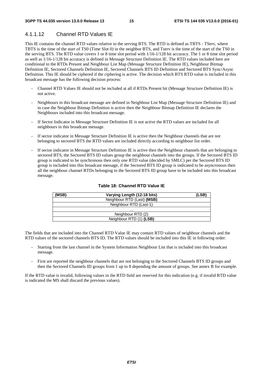# 4.1.1.12 Channel RTD Values IE

This IE contains the channel RTD values relative to the serving BTS. The RTD is defined as TBTS - TServ, where TBTS is the time of the start of TS0 (Time Slot 0) in the neighbor BTS, and Tserv is the time of the start of the TS0 in the serving BTS. The RTD value covers 1 or 8 time slot period with 1/16-1/128 bit accuracy. The 1 or 8 time slot period as well as 1/16-1/128 bit accuracy is defined in Message Structure Definition IE. The RTD values included here are conditional to the RTDs Present and Neighbour List Map (Message Structure Definition IE), Neighbour Bitmap Definition IE, Sectored Channels Definition IE, Sectored Channels BTS ID Definition and Sectored BTS Sync/Async Definition. This IE should be ciphered if the ciphering is active. The decision which BTS RTD value is included in this broadcast message has the following decision process:

- Channel RTD Values IE should not be included at all if RTDs Present bit (Message Structure Definition IE) is not active.
- Neighbours in this broadcast message are defined in Neighbour List Map (Message Structure Definition IE) and in case the Neighbour Bitmap Definition is active then the Neighbour Bitmap Definition IE declares the Neighbours included into this broadcast message.
- If Sector Indicator in Message Structure Definition IE is not active the RTD values are included for all neighbours in this broadcast message.
- If sector indicator in Message Structure Definition IE is active then the Neighbour channels that are not belonging to sectored BTS the RTD values are included directly according to neighbour list order.
- If sector indicator in Message Structure Definition IE is active then the Neighbour channels that are belonging to sectored BTS, the Sectored BTS ID values group the neighbour channels into the groups. If the Sectored BTS ID group is indicated to be synchronous then only one RTD value (decided by SMLC) per the Sectored BTS ID group is included into this broadcast message, if the Sectored BTS ID group is indicated to be asyncronous then all the neighbour channel RTDs belonging to the Sectored BTS ID group have to be included into this broadcast message.

| (MSB) | Varying Length (12-18 bits) | (LSB) |
|-------|-----------------------------|-------|
|       | Neighbour RTD (Last) (MSB)  |       |
|       | Neighbour RTD (Last-1)      |       |
|       | .                           |       |
|       | Neighbour RTD (2)           |       |
|       | Neighbour RTD (1) (LSB)     |       |

#### **Table 18: Channel RTD Value IE**

The fields that are included into the Channel RTD Value IE may contain RTD values of neighbour channels and the RTD values of the sectored channels BTS ID. The RTD values should be included into this IE in following order:

- Starting from the last channel in the System Information Neighbour List that is included into this broadcast message.
- First are reported the neighbour channels that are not belonging to the Sectored Channels BTS ID groups and then the Sectored Channels ID groups from 1 up to 8 depending the amount of groups. See annex B for example.

If the RTD value is invalid, following values in the RTD field are reserved for this indication (e.g. if invalid RTD value is indicated the MS shall discard the previous values).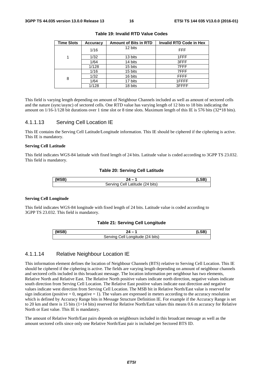| <b>Time Slots</b> | Accuracy | <b>Amount of Bits in RTD</b> | <b>Invalid RTD Code in Hex</b> |
|-------------------|----------|------------------------------|--------------------------------|
|                   | 1/16     | 12 bits                      | <b>FFF</b>                     |
| 1                 | 1/32     | 13 bits                      | 1FFF                           |
|                   | 1/64     | 14 bits                      | 3FFF                           |
|                   | 1/128    | 15 bits                      | 7FFF                           |
|                   | 1/16     | 15 bits                      | 7FFF                           |
| 8                 | 1/32     | 16 bits                      | <b>FFFF</b>                    |
|                   | 1/64     | 17 bits                      | 1FFFF                          |
|                   | 1/128    | 18 bits                      | 3FFFF                          |

**Table 19: Invalid RTD Value Codes** 

This field is varying length depending on amount of Neighbour Channels included as well as amount of sectored cells and the nature (sync/async) of sectored cells. One RTD value has varying length of 12 bits to 18 bits indicating the amount on 1/16-1/128 bit durations over 1 time slot or 8 time slots. Maximum length of this IE is 576 bits (32\*18 bits).

### 4.1.1.13 Serving Cell Location IE

This IE contains the Serving Cell Latitude/Longitude information. This IE should be ciphered if the ciphering is active. This IE is mandatory.

#### **Serving Cell Latitude**

This field indicates WGS-84 latitude with fixed length of 24 bits. Latitude value is coded according to 3GPP TS 23.032. This field is mandatory.

#### **Table 20: Serving Cell Latitude**

| IMCD |                                                        |  |
|------|--------------------------------------------------------|--|
|      | $(24 \text{ bits})$<br>Servin.<br>atitude<br>`≏‼<br>-- |  |

#### **Serving Cell Longitude**

This field indicates WGS-84 longitude with fixed length of 24 bits. Latitude value is coded according to 3GPP TS 23.032. This field is mandatory.

#### **Table 21: Serving Cell Longitude**

| (MSB) |                                                     |  |
|-------|-----------------------------------------------------|--|
|       | <sup>'t</sup> Longitude (24 bits)<br>∩מוαרא<br>اام: |  |

### 4.1.1.14 Relative Neighbour Location IE

This information element defines the location of Neighbour Channels (BTS) relative to Serving Cell Location. This IE should be ciphered if the ciphering is active. The fields are varying length depending on amount of neighbour channels and sectored cells included in this broadcast message. The location information per neighbour has two elements, Relative North and Relative East. The Relative North positive values indicate north direction, negative values indicate south direction from Serving Cell Location. The Relative East positive values indicate east direction and negative values indicate west direction from Serving Cell Location. The MSB bit in Relative North/East value is reserved for sign indication (positive  $= 0$ , negative  $= 1$ ). The values are expressed in meters according to the accuracy resolution which is defined by Accuracy Range bits in Message Structure Definition IE. For example if the Accuracy Range is set to 20 km and there is 15 bits (1+14 bits) reserved for Relative North/East values this means 0.6 m accuracy for Relative North or East value. This IE is mandatory.

The amount of Relative North/East pairs depends on neighbours included in this broadcast message as well as the amount sectored cells since only one Relative North/East pair is included per Sectored BTS ID.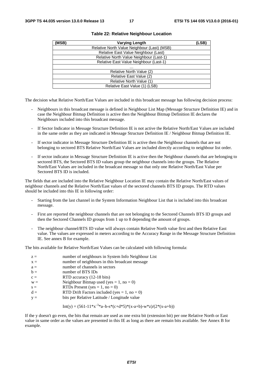| (MSB) | <b>Varying Length</b>                       | (LSB) |
|-------|---------------------------------------------|-------|
|       | Relative North Value Neighbour (Last) (MSB) |       |
|       | Relative East Value Neighbour (Last)        |       |
|       | Relative North Value Neighbour (Last-1)     |       |
|       | Relative East Value Neighbour (Last-1)      |       |
|       | .                                           |       |
|       | Relative North Value (2)                    |       |
|       | Relative East Value (2)                     |       |
|       | Relative North Value (1)                    |       |
|       | Relative East Value (1) (LSB)               |       |

#### **Table 22: Relative Neighbour Location**

The decision what Relative North/East Values are included in this broadcast message has following decision process:

- Neighbours in this broadcast message is defined in Neighbour List Map (Message Structure Definition IE) and in case the Neighbour Bitmap Definition is active then the Neighbour Bitmap Definition IE declares the Neighbours included into this broadcast message.
- If Sector Indicator in Message Structure Definition IE is not active the Relative North/East Values are included in the same order as they are indicated in Message Structure Definition IE / Neighbour Bitmap Definition IE.
- If sector indicator in Message Structure Definition IE is active then the Neighbour channels that are not belonging to sectored BTS Relative North/East Values are included directly according to neighbour list order.
- If sector indicator in Message Structure Definition IE is active then the Neighbour channels that are belonging to sectored BTS, the Sectored BTS ID values group the neighbour channels into the groups. The Relative North/East Values are included in the broadcast message so that only one Relative North/East Value per Sectored BTS ID is included.

The fields that are included into the Relative Neighbour Location IE may contain the Relative North/East values of neighbour channels and the Relative North/East values of the sectored channels BTS ID groups. The RTD values should be included into this IE in following order:

- Starting from the last channel in the System Information Neighbour List that is included into this broadcast message.
- First are reported the neighbour channels that are not belonging to the Sectored Channels BTS ID groups and then the Sectored Channels ID groups from 1 up to 8 depending the amount of groups.
- The neighbour channel/BTS ID value will always contain Relative North value first and then Relative East value. The values are expressed in meters according to the Accuracy Range in the Message Structure Definition IE. See annex B for example.

The bits available for Relative North/East Values can be calculated with following formula:

| $z =$ | number of neighbours in System Info Neighbour List |
|-------|----------------------------------------------------|
| $X =$ | number of neighbours in this broadcast message     |
| $a =$ | number of channels in sectors                      |
| $b =$ | number of BTS IDs                                  |
| $c =$ | RTD accuracy (12-18 bits)                          |
| $W =$ | Neighbour Bitmap used (yes = 1, no = 0)            |
| $s =$ | RTDs Present (yes = 1, no = 0)                     |
| $d =$ | RTD Drift Factors included (yes = $1$ , no = 0)    |
| $y =$ | bits per Relative Latitude / Longitude value       |
|       |                                                    |

Int(y) = 
$$
(561-11*x^{-3}a-b-s*(c+d*5)*(x-a+b)-w*z)/(2*(x-a+b))
$$

If the y doesn't go even, the bits that remain are used as one extra bit (extension bit) per one Relative North or East value in same order as the values are presented in this IE as long as there are remain bits available. See Annex B for example.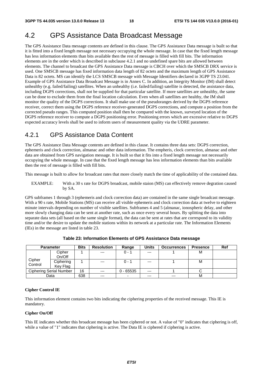# 4.2 GPS Assistance Data Broadcast Message

The GPS Assistance Data message contents are defined in this clause. The GPS Assistance Data message is built so that it is fitted into a fixed length message not necessary occupying the whole message. In case that the fixed length message has less information elements than bits available then the rest of message is filled with fill bits. The information elements are in the order which is described in subclause 4.2.1 and no undefined spare bits are allowed between elements. The channel to broadcast the GPS Assistance Data message is CBCH over which the SMSCB DRX service is used. One SMSCB message has fixed information data length of 82 octets and the maximum length of GPS Assistance Data is 82 octets. MS can identify the LCS SMSCB message with Message Identifiers declared in 3GPP TS 23.041. Example of GPS Assistance Data Broadcast Message is in Annex C. In addition, an Integrity Monitor (IM) shall detect unhealthy (e.g. failed/failing) satellites. When an unhealthy (i.e. failed/failing) satellite is detected, the assistance data, including DGPS corrections, shall not be supplied for that particular satellite. If more satellites are unhealthy, the same can be done to exclude them from the final location calculation. Even when all satellites are healthy, the IM shall monitor the quality of the DGPS corrections. It shall make use of the pseudoranges derived by the DGPS reference receiver, correct them using the DGPS reference receiver-generated DGPS corrections, and compute a position from the corrected pseudo ranges. This computed position shall then be compared with the known, surveyed location of the DGPS reference receiver to compute a DGPS positioning error. Positioning errors which are excessive relative to DGPS expected accuracy levels shall be used to inform users of measurement quality via the UDRE parameter.

# 4.2.1 GPS Assistance Data Content

The GPS Assistance Data Message contents are defined in this clause. It contains three data sets: DGPS correction, ephemeris and clock correction, almanac and other data information. The empheris, clock correction, almanac and other data are obtained from GPS navigation message. It is built so that it fits into a fixed length message not necessarily occupying the whole message. In case that the fixed length message has less information elements than bits available then the rest of message is filled with fill bits.

This message is built to allow for broadcast rates that more closely match the time of applicability of the contained data.

EXAMPLE: With a 30 s rate for DGPS broadcast, mobile staion (MS) can effectively remove degration caused by SA.

GPS subframes 1 through 3 (ephemeris and clock correction data) are contained in the same single broadcast message. With a 90 s rate, Mobile Stations (MS) can receive all visible ephemeris and clock correction data at twelve to eighteen minute intervals depending on number of visible satellites. Subframes 4 and 5 (almanac, ionospheric delay, and other more slowly changing data can be sent at another rate, such as once every several hours. By splitting the data into separate data sets (all based on the same single format), the data can be sent at rates that are correspond to its validity time and/or the desire to update the mobile stations within its network at a particular rate. The Information Elements (IEs) in the message are listed in table 23.

| <b>Parameter</b> |                         | <b>Bits</b> | <b>Resolution</b> | Range       | <b>Units</b> | <b>Occurrences</b> | <b>Presence</b> | Ref |
|------------------|-------------------------|-------------|-------------------|-------------|--------------|--------------------|-----------------|-----|
|                  | Cipher                  |             | $---$             | $0 - 1$     | $---$        |                    | м               |     |
|                  | On/Off                  |             |                   |             |              |                    |                 |     |
| Cipher           | Ciphering               |             | $---$             | $0 - 1$     | $---$        |                    | м               |     |
| Control          | Key Flag                |             |                   |             |              |                    |                 |     |
|                  | Ciphering Serial Number | 16          | $---$             | $0 - 65535$ | $---$        |                    |                 |     |
|                  | Data                    | 638         | $---$             | -           | $---$        | $---$              | M               |     |

**Table 23: Information Elements of GPS Assistance Data message** 

#### **Cipher Control IE**

This information element contains two bits indicating the ciphering properties of the received message. This IE is mandatory.

#### **Cipher On/Off**

This IE indicates whether this broadcast message has been ciphered or not. A value of "0" indicates that ciphering is off, while a value of "1" indicates that ciphering is active. The Data IE is ciphered if ciphering is active.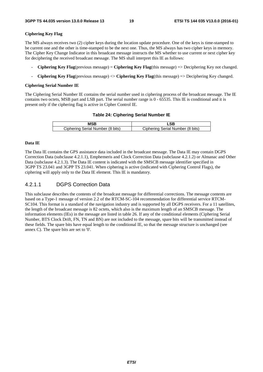#### **Ciphering Key Flag**

The MS always receives two (2) cipher keys during the location update procedure. One of the keys is time-stamped to be current one and the other is time-stamped to be the next one. Thus, the MS always has two cipher keys in memory. The Cipher Key Change Indicator in this broadcast message instructs the MS whether to use current or next cipher key for deciphering the received broadcast message. The MS shall interpret this IE as follows:

- **Ciphering Key Flag**(previous message) = **Ciphering Key Flag**(this message) => Deciphering Key not changed.
- **Ciphering Key Flag**(previous message) <> **Ciphering Key Flag**(this message) => Deciphering Key changed.

#### **Ciphering Serial Number IE**

The Ciphering Serial Number IE contains the serial number used in ciphering process of the broadcast message. The IE contains two octets, MSB part and LSB part. The serial number range is 0 - 65535. This IE is conditional and it is present only if the ciphering flag is active in Cipher Control IE.

#### **Table 24: Ciphering Serial Number IE**

| Ciphering Serial Number (8 bits) | Ciphering Serial Number (8 bits) |
|----------------------------------|----------------------------------|

#### **Data IE**

The Data IE contains the GPS assistance data included in the broadcast message. The Data IE may contain DGPS Correction Data (subclause 4.2.1.1), Emphemeris and Clock Correction Data (subclause 4.2.1.2) or Almanac and Other Data (subclause 4.2.1.3). The Data IE content is indicated with the SMSCB message identifier specified in 3GPP TS 23.041 and 3GPP TS 23.041. When ciphering is active (indicated with Ciphering Control Flags), the ciphering will apply only to the Data IE element. This IE is mandatory.

### 4.2.1.1 DGPS Correction Data

This subclause describes the contents of the broadcast message for differential corrections. The message contents are based on a Type-1 message of version 2.2 of the RTCM-SC-104 recommendation for differential service RTCM-SC104. This format is a standard of the navigation industry and is supported by all DGPS receivers. For a 11 satellites, the length of the broadcast message is 82 octets, which also is the maximum length of an SMSCB message. The information elements (IEs) in the message are listed in table 26. If any of the conditional elements (Ciphering Serial Number, BTS Clock Drift, FN, TN and BN) are not included to the message, spare bits will be transmitted instead of these fields. The spare bits have equal length to the conditional IE, so that the message structure is unchanged (see annex C). The spare bits are set to '0'.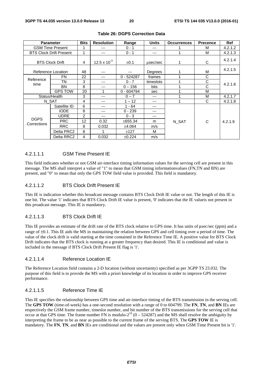|                            | <b>Parameter</b>               | <b>Bits</b> | <b>Resolution</b> | Range        | <b>Units</b> | <b>Occurrences</b> | <b>Precence</b> | <b>Ref</b> |
|----------------------------|--------------------------------|-------------|-------------------|--------------|--------------|--------------------|-----------------|------------|
|                            | <b>GSM Time Present</b>        |             | ---               | $0 - 1$      | ---          |                    | м               | 4.2.1.2    |
|                            | <b>BTS Clock Drift Present</b> |             | ---               | $0 - 1$      | ---          |                    | М               | 4.2.1.3    |
|                            | <b>BTS Clock Drift</b>         | 4           | 12.5 x $10^{-3}$  | $\pm 0.1$    | usec/sec     |                    | C               | 4.2.1.4    |
|                            | Reference Location             | 48          | ---               | ---          | Degrees      |                    | М               | 4.2.1.5    |
|                            | FN                             | 22          | ---               | $0 - 524287$ | frames       |                    | C               |            |
| Reference<br>time          | TN                             | 3           | $---$             | $0 - 7$      | timeslots    |                    | C               | 4.2.1.6    |
|                            | <b>BN</b>                      | 8           | $---$             | $0 - 156$    | bits         |                    | C               |            |
|                            | <b>GPS TOW</b>                 | 20          | 1                 | $0 - 604794$ | sec          |                    | M               |            |
| Status/Health              |                                | 3           | ---               | $0 - 7$      | ---          |                    | м               | 4.2.1.7    |
|                            | N SAT                          | 4           | ---               | $1 - 12$     | ---          |                    | C               | 4.2.1.8    |
|                            | Satellite ID                   | 6           | ---               | $1 - 64$     | ---          |                    |                 |            |
|                            | <b>IODE</b>                    | 8           | ---               | $0 - 239$    | ---          |                    |                 |            |
|                            | <b>UDRE</b>                    | 2           | ---               | $0 - 3$      | ---          |                    |                 | 4.2.1.9    |
| <b>DGPS</b><br>Corrections | <b>PRC</b>                     | 12          | 0.32              | ±655.34      | m            | N SAT              | C               |            |
|                            | <b>RRC</b>                     | 8           | 0.032             | ±4.064       | m/s          |                    |                 |            |
|                            | Delta PRC2                     | 8           |                   | ±127         | м            |                    |                 |            |
|                            | Delta RRC2                     | 4           | 0.032             | ±0.224       | m/s          |                    |                 |            |

#### **Table 26: DGPS Correction Data**

#### 4.2.1.1.1 GSM Time Present IE

This field indicates whether or not GSM air-interface timing information values for the serving cell are present in this message. The MS shall interpret a value of "1" to mean that GSM timing informationvalues (FN,TN and BN) are present, and "0" to mean that only the GPS TOW field value is provided. This field is mandatory.

#### 4.2.1.1.2 BTS Clock Drift Present IE

This IE is indication whether this broadcast message contains BTS Clock Drift IE value or not. The length of this IE is one bit. The value '1' indicates that BTS Clock Drift IE value is present, '0' indicates that the IE valueis not present in this proadcast message. This IE is mandatory.

### 4.2.1.1.3 BTS Clock Drift IE

This IE provides an estimate of the drift rate of the BTS clock relative to GPS time. It has units of μsec/sec (ppm) and a range of ±0.1. This IE aids the MS in maintaining the relation between GPS and cell timing over a period of time. The value of the clock drift is valid starting at the time contained in the Reference Time IE. A positive value for BTS Clock Drift indicates that the BTS clock is running at a greater frequency than desired. This IE is conditional and value is included in the message if BTS Clock Drift Present IE flag is '1'.

#### 4.2.1.1.4 Reference Location IE

The Reference Location field contains a 2-D location (without uncertainty) specified as per 3GPP TS 23.032. The purpose of this field is to provide the MS with a priori knowledge of its location in order to improve GPS receiver performance.

#### 4.2.1.1.5 Reference Time IE

This IE specifies the relationship between GPS time and air-interface timing of the BTS transmission in the serving cell. The **GPS TOW** (time-of-week) has a one-second resolution with a range of 0 to 604799. The **FN**, **TN**, and **BN** IEs are respectively the GSM frame number, timeslot number, and bit number of the BTS transmissions for the serving cell that occur at that GPS time. The frame number FN is modulo- $2^{19}$  (0 – 524287) and the MS shall resolve the ambiguity by interpreting the frame to be as near as possible to the current frame of the serving BTS. The **GPS TOW** IE is mandatory. The **FN**, **TN**, and **BN** IEs are conditional and the values are present only when GSM Time Present bit is '1'.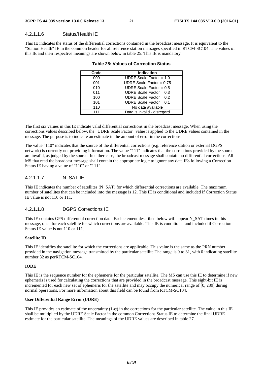#### 4.2.1.1.6 Status/Health IE

This IE indicates the status of the differential corrections contained in the broadcast message. It is equivalent to the "Station Health" IE in the common header for all reference station messages specified in RTCM-SC104. The values of this IE and their respective meanings are shown below in table 25. This IE is mandatory.

| Code | <b>Indication</b>           |
|------|-----------------------------|
| 000  | UDRE Scale Factor = $1.0$   |
| 001  | UDRE Scale Factor = $0.75$  |
| 010  | UDRE Scale Factor = $0.5$   |
| 011  | UDRE Scale Factor = $0.3$   |
| 100  | UDRE Scale Factor = $0.2$   |
| 101  | UDRE Scale Factor = $0.1$   |
| 110  | No data available           |
| 111  | Data is invalid - disregard |
|      |                             |

#### **Table 25: Values of Correction Status**

The first six values in this IE indicate valid differential corrections in the broadcast message. When using the corrections values described below, the "UDRE Scale Factor" value is applied to the UDRE values contained in the message. The purpose is to indicate an estimate in the amount of error in the corrections.

The value "110" indicates that the source of the differential corrections (e.g. reference station or external DGPS network) is currently not providing information. The value "111" indicates that the corrections provided by the source are invalid, as judged by the source. In either case, the broadcast message shall contain no differential corrections. All MS that read the broadcast message shall contain the appropriate logic to ignore any data IEs following a Correction Status IE having a value of "110" or "111".

### 4.2.1.1.7 N\_SAT IE

This IE indicates the number of satellites (N\_SAT) for which differential corrections are available. The maximum number of satellites that can be included into the message is 12. This IE is conditional and included if Correction Status IE value is not 110 or 111.

#### 4.2.1.1.8 DGPS Corrections IE

This IE contains GPS differential correction data. Each element described below will appear N\_SAT times in this message, once for each satellite for which corrections are available. This IE is conditional and included if Correction Status IE value is not 110 or 111.

#### **Satellite ID**

This IE identifies the satellite for which the corrections are applicable. This value is the same as the PRN number provided in the navigation message transmitted by the particular satellite.The range is 0 to 31, with 0 indicating satellite number 32 as perRTCM-SC104.

#### **IODE**

This IE is the sequence number for the ephemeris for the particular satellite. The MS can use this IE to determine if new ephemeris is used for calculating the corrections that are provided in the broadcast message. This eight-bit IE is incremented for each new set of ephemeris for the satellite and may occupy the numerical range of [0, 239] during normal operations. For more information about this field can be found from RTCM-SC104.

#### **User Differential Range Error (UDRE)**

This IE provides an estimate of the uncertainty  $(1-\sigma)$  in the corrections for the particular satellite. The value in this IE shall be multiplied by the UDRE Scale Factor in the common Corrections Status IE to determine the final UDRE estimate for the particular satellite. The meanings of the UDRE values are described in table 27.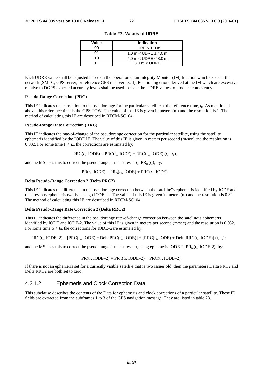| Value | <b>Indication</b>             |
|-------|-------------------------------|
| n۵    | UDRE $\leq 1.0$ m             |
| ሰ1    | 1.0 m $<$ UDRE $\leq$ 4.0 m   |
| 10    | 4.0 m $<$ UDRE $\leq$ 8.0 m   |
| 11    | $8.0 \text{ m} < \text{UDRE}$ |

**Table 27: Values of UDRE** 

Each UDRE value shall be adjusted based on the operation of an Integrity Monitor (IM) function which exists at the network (SMLC, GPS server, or reference GPS receiver itself). Positioning errors derived at the IM which are excessive relative to DGPS expected accuracy levels shall be used to scale the UDRE values to produce consistency.

#### **Pseudo-Range Correction (PRC)**

This IE indicates the correction to the pseudorange for the particular satellite at the reference time, *t*0. As mentioned above, this reference time is the GPS TOW. The value of this IE is given in meters (m) and the resolution is 1. The method of calculating this IE are described in RTCM-SC104.

#### **Pseudo-Range Rate Correction (RRC)**

This IE indicates the rate-of-change of the pseudorange correction for the particular satellite, using the satellite ephemeris identified by the IODE IE. The value of this IE is given in meters per second (m/sec) and the resolution is 0.032. For some time  $t_1 > t_0$ , the corrections are estimated by:

 $PRC(t_1, IODE) = PRC(t_0, IODE) + RRC(t_0, IODE) \cdot (t_1 - t_0),$ 

and the MS uses this to correct the pseudorange it measures at  $t_1$ ,  $PR_m(t_1)$ , by:

 $PR(t_1, \text{IODE}) = PR_m(t_1, \text{IODE}) + PRC(t_1, \text{IODE}).$ 

#### **Delta Pseudo-Range Correction 2 (Delta PRC2)**

This IE indicates the difference in the pseudorange correction between the satellite"s ephemeris identified by IODE and the previous ephemeris two issues ago IODE –2. The value of this IE is given in meters (m) and the resolution is 0.32. The method of calculating this IE are described in RTCM-SC104.

#### **Delta Pseudo-Range Rate Correction 2 (Delta RRC2)**

This IE indicates the difference in the pseudorange rate-of-change correction between the satellite"s ephemeris identified by IODE and IODE-2. The value of this IE is given in meters per second (m/sec) and the resolution is 0.032. For some time  $t_1 > t_0$ , the corrections for IODE–2are estimated by:

$$
PRC(t_1, \text{IODE}-2) = [PRC(t_0, \text{IODE}) + \text{Delta}PRC(t_0, \text{IODE})] + [RRC(t_0, \text{IODE}) + \text{Delta}RRC(t_0, \text{IODE})] \cdot (t_1 \cdot t_0);
$$

and the MS uses this to correct the pseudorange it measures at  $t_1$  using ephemeris IODE-2, PR<sub>m</sub>( $t_1$ , IODE-2), by:

$$
PR(t_1, IODE-2) = PR_m(t_1, IODE-2) + PRC(t_1, IODE-2).
$$

If there is not an ephemeris set for a currently visible satellite that is two issues old, then the parameters Delta PRC2 and Delta RRC2 are both set to zero.

### 4.2.1.2 Ephemeris and Clock Correction Data

This subclause describes the contents of the Data for ephemeris and clock corrections of a particular satellite. These IE fields are extracted from the subframes 1 to 3 of the GPS navigation message. They are listed in table 28.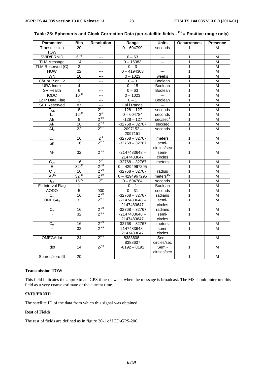| <b>Parameter</b>            | <b>Bits</b>     | <b>Resolution</b>         | Range                         | <b>Units</b>         | <b>Occurrences</b> | <b>Presence</b> |
|-----------------------------|-----------------|---------------------------|-------------------------------|----------------------|--------------------|-----------------|
| Transmission                | 20              | 1                         | $0 - 604799$                  | seconds              | 1                  | M               |
| <b>TOW</b>                  |                 |                           |                               |                      |                    |                 |
| SVID/PRNID                  | $6^{(1)}$       | $---$                     | $0 - 63$                      | $---$                | 1                  | M               |
| <b>TLM Message</b>          | 14              | ---                       | $0 - 16383$                   | $---$                | $\mathbf{1}$       | M               |
| TLM Reserved (C)            | $\overline{2}$  | $---$                     | $0 - 3$                       | $\cdots$             | 1                  | M               |
| <b>HOW</b>                  | 22              | ---                       | $0 - 4194303$                 | $\cdots$             | 1                  | M               |
| <b>WN</b>                   | $\overline{10}$ | ---                       | $0 - 1023$                    | weeks                | 1                  | M               |
| C/A or P on L2              | $\overline{c}$  | ---                       | $0 - 3$                       | Boolean              | 1                  | M               |
| <b>URA</b> Index            | $\overline{4}$  | $---$                     | $0 - 15$                      | Boolean              | $\overline{1}$     | M               |
| SV Health                   | $\overline{6}$  | $---$                     | $0 - 63$                      | Boolean              | 1                  | М               |
| <b>IODC</b>                 | $10^{(1)}$      | ---                       | $0 - 1023$                    | $\sim$               | 1                  | М               |
| L <sub>2</sub> P Data Flag  | $\mathbf{1}$    | $---$                     | $0 - 1$                       | Boolean              | 1                  | M               |
| SF1 Reserved                | 87              | $\overline{a}$            | Ful I Range                   | $\overline{a}$       | 1                  | M               |
| $T_{GD}$                    | 8               | $2^{31}$                  | $-128 - 127$                  | seconds              | 1                  | M               |
| $t_{oc}$                    | $16^{(1)}$      | 2 <sup>4</sup>            | $0 - 604784$                  | seconds              | 1                  | M               |
| Af <sub>2</sub>             | 8               |                           | $-128 - 127$                  | sec/sec <sup>2</sup> | 1                  | M               |
| $\overline{Af_1}$           | $\overline{16}$ | $\frac{2^{-55}}{2^{-43}}$ | $-32768 - 32767$              | sec/sec              | 1                  | M               |
| Af <sub>0</sub>             | $\overline{22}$ | $2^{-31}$                 | $-2097152-$                   | seconds              | $\mathbf{1}$       | M               |
|                             |                 |                           | 2097151                       |                      |                    |                 |
| $C_{rs}$                    | 16              |                           | $-32768 - 32767$              | meters               | 1                  | M               |
| $\Delta n$                  | 16              | $\frac{2^{5}}{2^{43}}$    | $-32768 - 32767$              | semi-                | 1                  | M               |
|                             |                 |                           |                               | circles/sec          |                    |                 |
| M <sub>0</sub>              | 32              | $2^{-31}$                 | $-2147483648 -$               | semi-                | $\mathbf{1}$       | M               |
|                             |                 |                           | 2147483647                    | circles              |                    |                 |
| $C_{uc}$                    | 16              | $2^{5}$                   | $-32768 - 32767$              | meters               | 1                  | M               |
| Е                           | $32^{(1)}$      | $2^{-33}$                 | $0 - 4294967295$              | $\sim$               | 1                  | M               |
|                             | 16              | $2^{-29}$                 | $-32768 - 32767$              | radius               | 1                  | M               |
| $\frac{C_{us}}{(A)^{1/2}}$  | $32^{(1)}$      | $2^{-19}$                 | $0 - 4294967295$              | meters $^{1/2}$      | 1                  | M               |
| $t_{oe}$                    | $16^{(1)}$      | 2 <sup>4</sup>            | $0 - 604784$                  | seconds              | 1                  | M               |
| Fit Interval Flag           | 1               | $\overline{a}$            | $0 - 1$                       | Boolean              | 1                  | M               |
| <b>AODO</b>                 | $\overline{5}$  | $\overline{900}$          | $0 - 31$                      | seconds              | 1                  | M               |
| $C_{ic}$                    | 16              | $2^{-29}$                 | $-32768 - 32767$              | radians              | 1                  | $\overline{M}$  |
| $\overline{\text{OMEGA}}_0$ | $\overline{32}$ | $2^{-31}$                 | $-2147483648 -$               | semi-                | $\mathbf{1}$       | M               |
|                             |                 |                           | 2147483647                    | circles              |                    |                 |
|                             |                 |                           | $-32768 - 32767$              | radians              |                    |                 |
| $C_{is}$                    | 16<br>32        | $\frac{2^{29}}{2^{31}}$   | $-2147483648 -$               | semi-                | 1<br>1             | M<br>M          |
| io                          |                 |                           | 2147483647                    | circles              |                    |                 |
|                             |                 |                           |                               |                      |                    |                 |
| $C_{rc}$                    | 16              | $\frac{2^{29}}{2^{31}}$   | $-32768 - 32767$              | meters               | 1<br>$\mathbf{1}$  | M               |
| $\omega$                    | 32              |                           | $-2147483648 -$<br>2147483647 | semi-                |                    | M               |
|                             |                 | $2^{-43}$                 |                               | circles              |                    |                 |
| <b>OMEGAdot</b>             | 24              |                           | $-8388608-$                   | Semi-                | 1                  | M               |
|                             | 14              | $2^{-43}$                 | 8388607                       | circles/sec          | $\mathbf{1}$       | M               |
| <b>Idot</b>                 |                 |                           | $-8192 - 8191$                | Semi-<br>circles/sec |                    |                 |
|                             |                 | $\overline{a}$            |                               | $\overline{a}$       |                    |                 |
| Spares/zero fill            | 20              |                           | $\overline{a}$                |                      | $\mathbf{1}$       | M               |

| Table 28: Ephemeris and Clock Correction Data (per-satellite fields - <sup>(1)</sup> = Positive range only) |  |  |  |
|-------------------------------------------------------------------------------------------------------------|--|--|--|
|-------------------------------------------------------------------------------------------------------------|--|--|--|

#### **Transmission TOW**

This field indicates the approximate GPS time-of-week when the message is broadcast. The MS should interpret this field as a very coarse estimate of the current time.

#### **SVID/PRNID**

The satellite ID of the data from which this signal was obtained.

### **Rest of Fields**

The rest of fields are defined as in figure 20-1 of ICD-GPS-200.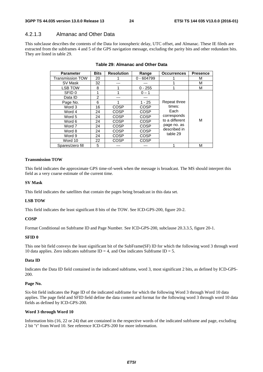### 4.2.1.3 Almanac and Other Data

This subclause describes the contents of the Data for ionospheric delay, UTC offset, and Almanac. These IE fileds are extracted from the subframes 4 and 5 of the GPS navigation message, excluding the parity bits and other redundant bits. They are listed in table 29.

| <b>Parameter</b>        | <b>Bits</b> | <b>Resolution</b> | Range        | <b>Occurrences</b> | <b>Presence</b> |
|-------------------------|-------------|-------------------|--------------|--------------------|-----------------|
| <b>Transmission TOW</b> | 20          |                   | $0 - 604799$ |                    | м               |
| SV Mask                 | 32          |                   |              |                    | м               |
| <b>LSB TOW</b>          | 8           |                   | $0 - 255$    |                    | м               |
| SFID 0                  | 1           |                   | $0 - 1$      |                    |                 |
| Data ID                 | 2           |                   | ---          |                    |                 |
| Page No.                | 6           |                   | $1 - 25$     | Repeat three       |                 |
| Word 3                  | 16          | <b>COSP</b>       | COSP         | times:             |                 |
| Word 4                  | 24          | COSP              | <b>COSP</b>  | Each               |                 |
| Word 5                  | 24          | COSP              | COSP         | corresponds        |                 |
| Word 6                  | 24          | COSP              | <b>COSP</b>  | to a different     | М               |
| Word 7                  | 24          | COSP              | COSP         | page no. as        |                 |
| Word 8                  | 24          | COSP              | COSP         | described in       |                 |
| Word 9                  | 24          | COSP              | COSP         | table 29           |                 |
| Word 10                 | 22          | <b>COSP</b>       | COSP         |                    |                 |
| Spares/zero fill        | 5           |                   |              |                    | м               |

#### **Table 29: Almanac and Other Data**

#### **Transmission TOW**

This field indicates the approximate GPS time-of-week when the message is broadcast. The MS should interpret this field as a very coarse estimate of the current time.

#### **SV Mask**

This field indicates the satellites that contain the pages being broadcast in this data set.

#### **LSB TOW**

This field indicates the least significant 8 bits of the TOW. See ICD-GPS-200, figure 20-2.

#### **COSP**

Format Conditional on Subframe ID and Page Number. See ICD-GPS-200, subclause 20.3.3.5, figure 20-1.

#### **SFID 0**

This one bit field conveys the least significant bit of the SubFrame(SF) ID for which the following word 3 through word 10 data applies. Zero indicates subframe  $ID = 4$ , and One indicates Subframe  $ID = 5$ .

#### **Data ID**

Indicates the Data ID field contained in the indicated subframe, word 3, most significant 2 bits, as defined by ICD-GPS-200.

#### **Page No.**

Six-bit field indicates the Page ID of the indicated subframe for which the following Word 3 through Word 10 data applies. The page field and SFID field define the data content and format for the following word 3 through word 10 data fields as defined by ICD-GPS-200.

#### **Word 3 through Word 10**

Information bits (16, 22 or 24) that are contained in the respective words of the indicated subframe and page, excluding 2 bit "t" from Word 10. See reference ICD-GPS-200 for more information.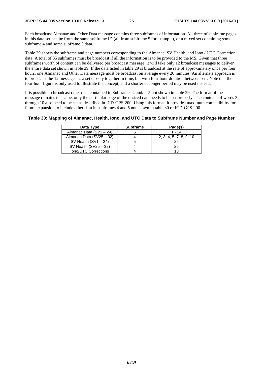Each broadcast Almanac and Other Data message contains three subframes of information. All three of subframe pages in this data set can be from the same subframe ID (all from subframe 5 for example), or a mixed set containing some subframe 4 and some subframe 5 data.

Table 29 shows the subframe and page numbers corresponding to the Almanac, SV Health, and Iono / UTC Correction data. A total of 35 subframes must be broadcast if all the information is to be provided to the MS. Given that three subframes worth of content can be delivered per broadcast message, it will take only 12 broadcast messages to deliver the entire data set shown in table 29. If the data listed in table 29 is broadcast at the rate of approximately once per four hours, one Almanac and Other Data message must be broadcast on average every 20 minutes. An alternate approach is to broadcast the 12 messages as a set closely together in time, but with four-hour duration between sets. Note that the four-hour figure is only used to illustrate the concept, and a shorter or longer period may be used instead.

It is possible to broadcast other data contained in Subframes 4 and/or 5 not shown in table 29. The format of the message remains the same, only the particular page of the desired data needs to be set properly. The contents of words 3 through 10 also need to be set as described in ICD-GPS-200. Using this format, it provides maximum compatibility for future expansion to include other data in subframes 4 and 5 not shown in table 30 or ICD-GPS-200.

#### **Table 30: Mapping of Almanac, Health, Iono, and UTC Data to Subframe Number and Page Number**

| Data Type                | <b>Subframe</b> | Page(s)                 |
|--------------------------|-----------------|-------------------------|
| Almanac Data (SV1 - 24)  |                 | $1 - 24$                |
| Almanac Data (SV25 - 32) |                 | 2, 3, 4, 5, 7, 8, 9, 10 |
| SV Health $(SV1 - 24)$   |                 | 25                      |
| SV Health $(SV25 - 32)$  |                 | 25                      |
| Iono/UTC Corrections     |                 |                         |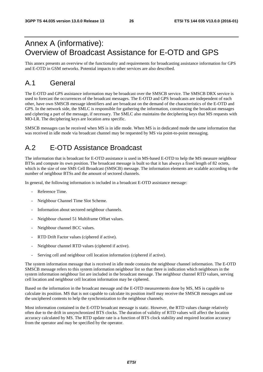# Annex A (informative): Overview of Broadcast Assistance for E-OTD and GPS

This annex presents an overview of the functionality and requirements for broadcasting assistance information for GPS and E-OTD in GSM networks. Potential impacts to other services are also described.

# A.1 General

The E-OTD and GPS assistance information may be broadcast over the SMSCB service. The SMSCB DRX service is used to forecast the occurrences of the broadcast messages. The E-OTD and GPS broadcasts are independent of each other, have own SMSCB message identifiers and are broadcast on the demand of the characteristics of the E-OTD and GPS. In the network side, the SMLC is responsible for gathering the information, constructing the broadcast messages and ciphering a part of the message, if necessary. The SMLC also maintains the deciphering keys that MS requests with MO-LR. The deciphering keys are location area specific.

SMSCB messages can be received when MS is in idle mode. When MS is in dedicated mode the same information that was received in idle mode via broadcast channel may be requested by MS via point-to-point messaging.

# A.2 E-OTD Assistance Broadcast

The information that is broadcast for E-OTD assistance is used in MS-based E-OTD to help the MS measure neighbour BTSs and compute its own position. The broadcast message is built so that it has always a fixed length of 82 octets, which is the size of one SMS Cell Broadcast (SMSCB) message. The information elements are scalable according to the number of neighbour BTSs and the amount of sectored channels.

In general, the following information is included in a broadcast E-OTD assistance message:

- Reference Time.
- Neighbour Channel Time Slot Scheme.
- Information about sectored neighbour channels.
- Neighbour channel 51 Multiframe Offset values.
- Neighbour channel BCC values.
- RTD Drift Factor values (ciphered if active).
- Neighbour channel RTD values (ciphered if active).
- Serving cell and neighbour cell location information (ciphered if active).

The system information message that is received in idle mode contains the neighbour channel information. The E-OTD SMSCB message refers to this system information neighbour list so that there is indication which neighbours in the system information neighbour list are included in the broadcast message. The neighbour channel RTD values, serving cell location and neighbour cell location information may be ciphered.

Based on the information in the broadcast message and the E-OTD measurements done by MS, MS is capable to calculate its position. MS that is not capable to calculate its position itself may receive the SMSCB messages and use the unciphered contents to help the synchronization to the neighbour channels.

Most information contained in the E-OTD broadcast message is static. However, the RTD values change relatively often due to the drift in unsynchronized BTS clocks. The duration of validity of RTD values will affect the location accuracy calculated by MS. The RTD update rate is a function of BTS clock stability and required location accuracy from the operator and may be specified by the operator.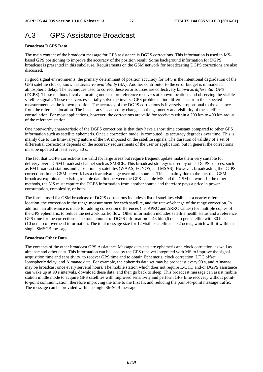# A.3 GPS Assistance Broadcast

#### **Broadcast DGPS Data**

The main content of the broadcast message for GPS assistance is DGPS corrections. This information is used in MSbased GPS positioning to improve the accuracy of the position result. Some background information for DGPS broadcast is presented in this subclause. Requirements on the GSM network for broadcasting DGPS corrections are also discussed.

In good signal environments, the primary determinant of position accuracy for GPS is the intentional degradation of the GPS satellite clocks, known as *selective availability* (SA). Another contributor to the error budget is unmodeled atmospheric delay. The techniques used to correct these error sources are collectively known as *differential GPS* (DGPS). These methods involve locating one or more reference receivers at known locations and observing the visible satellite signals. These receivers essentially solve the inverse GPS problem - find differences from the expected measurements at the known position. The accuracy of the DGPS corrections is inversely proportional to the distance from the reference location. The inaccuracy is caused by changes in the geometry and visibility of the satellite constellation. For most applications, however, the corrections are valid for receivers within a 200 km to 400 km radius of the reference station.

One noteworthy characteristic of the DGPS corrections is that they have a short time constant compared to other GPS information such as satellite ephemeris. Once a correction model is computed, its accuracy degrades over time. This is mainly due to the time-varying nature of the SA imposed on the satellite signals. The duration of validity of a set of differential corrections depends on the accuracy requirements of the user or application, but in general the corrections must be updated at least every 30 s.

The fact that DGPS corrections are valid for large areas but require frequent update make them very suitable for delivery over a GSM broadcast channel such as SMSCB. This broadcast strategy is used by other DGPS sources, such as FM broadcast stations and geostationary satellites (WAAS, EGNOS, and MSAS). However, broadcasting the DGPS corrections in the GSM network has a clear advantage over other sources. This is mainly due to the fact that GSM broadcast exploits the existing reliable data link between the GPS-capable MS and the GSM network. In the other methods, the MS must capture the DGPS information from another source and therefore pays a price in power consumption, complexity, or both.

The format used for GSM broadcast of DGPS corrections includes a list of satellites visible at a nearby reference location, the correction in the range measurement for each satellite, and the rate-of-change of the range correction. In addition, an allowance is made for adding correction differences (i.e. ΔPRC and ΔRRC values) for multiple copies of the GPS ephemeris, to reduce the network traffic flow. Other information includes satellite health status and a reference GPS time for the corrections. The total amount of DGPS information is 48 bits (6 octets) per satellite with 80 bits (10 octets) of overhead information. The total message size for 12 visible satellites is 82 octets, which will fit within a single SMSCB message.

#### **Broadcast Other Data**

The contents of the other broadcast GPS Assiatance Message data sets are ephemeris and clock correction, as well as almanac and other data. This information can be used by the GPS receiver integrated with MS to improve the signal acquisition time and sensitivity, to recover GPS time and to obtain Ephemeris, clock correction, UTC offset, Ionospheric delay, and Almanac data. For example, the ephemris data set may be broadcast every 90 s, and Almanac may be broadcast once every serveral hours. The mobile station which does not require E-OTD and/or DGPS assistance can wake up at 90 s intervals, download these data, and then go back to sleep. This broadcast message can assist mobile station in idle mode to acquire GPS satellites with improved sensitivity and perform GPS time recovery without pointto-point communication, therefore improving the time to the first fix and reducing the point-to-point message traffic. The message can be provided within a single SMSCB message.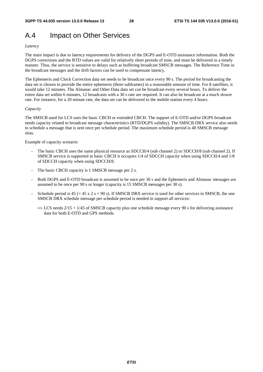# A.4 Impact on Other Services

#### *Latency*

The main impact is due to latency requirements for delivery of the DGPS and E-OTD assistance information. Both the DGPS corrections and the RTD values are valid for relatively short periods of time, and must be delivered in a timely manner. Thus, the service is sensitive to delays such as buffering broadcast SMSCB messages. The Reference Time in the broadcast messages and the drift factors can be used to compensate latency.

The Ephemeris and Clock Correction data set needs to be broadcast once every 90 s. The period for broadcasting the data set is chosen to provide the entire ephemeris (three subframes) in a reasonable amount of time. For 8 satellites, it would take 12 minutes. The Almanac and Other Data data set can be broadcast every several hours. To deliver the entire data set within 6 minutes, 12 broadcasts with a 30 s rate are required. It can also be broadcast at a much slower rate. For instance, for a 20 minute rate, the data set can be delivered to the mobile station every 4 hours.

#### *Capacity*

The SMSCB used for LCS uses the basic CBCH or extended CBCH. The support of E-OTD and/or DGPS broadcast needs capacity related to broadcast message characteristics (RTD/DGPS validity). The SMSCB DRX service also needs to schedule a message that is sent once per schedule period. The maximum schedule period is 48 SMSCB message slots.

Example of capacity scenario:

- The basic CBCH uses the same physical resource as SDCCH/4 (sub channel 2) or SDCCH/8 (sub channel 2). If SMSCB service is supported in basic CBCH it occupies 1/4 of SDCCH capacity when using SDCCH/4 and 1/8 of SDCCH capacity when using SDCCH/8.
- The basic CBCH capacity is 1 SMSCB message per 2 s.
- Both DGPS and E-OTD broadcast is assumed to be once per 30 s and the Ephemeris and Almanac messages are assumed to be once per 90 s or longer (capacity is 15 SMSCB messages per 30 s).
- Schedule period is  $45 (= 45 \times 2 \text{ s} = 90 \text{ s})$ . If SMSCB DRX service is used for other services in SMSCB, the one SMSCB DRX schedule message per schedule period is needed to support all services:
	- $\Rightarrow$  LCS needs 2/15 + 1/45 of SMSCB capacity plus one schedule message every 90 s for delivering assistance data for both E-OTD and GPS methods.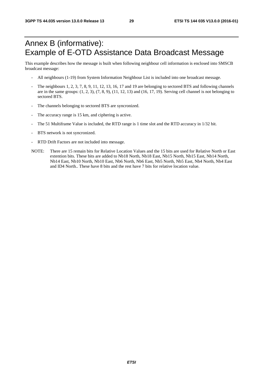# Annex B (informative): Example of E-OTD Assistance Data Broadcast Message

This example describes how the message is built when following neighbour cell information is enclosed into SMSCB broadcast message:

- All neighbours (1-19) from System Information Neighbour List is included into one broadcast message.
- The neighbours 1, 2, 3, 7, 8, 9, 11, 12, 13, 16, 17 and 19 are belonging to sectored BTS and following channels are in the same groups:  $(1, 2, 3)$ ,  $(7, 8, 9)$ ,  $(11, 12, 13)$  and  $(16, 17, 19)$ . Serving cell channel is not belonging to sectored BTS.
- The channels belonging to sectored BTS are syncronized.
- The accuracy range is 15 km, and ciphering is active.
- The 51 Multiframe Value is included, the RTD range is 1 time slot and the RTD accuracy in 1/32 bit.
- BTS network is not syncronized.
- RTD Drift Factors are not included into message.
- NOTE: There are 15 remain bits for Relative Location Values and the 15 bits are used for Relative North or East extention bits. These bits are added to Nb18 North, Nb18 East, Nb15 North, Nb15 East, Nb14 North, Nb14 East, Nb10 North, Nb10 East, Nb6 North, Nb6 East, Nb5 North, Nb5 East, Nb4 North, Nb4 East and ID4 North.. These have 8 bits and the rest have 7 bits for relative location value.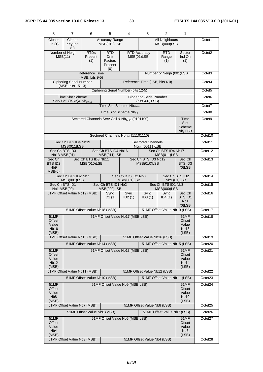| 8                                                    | $\overline{7}$                                                                                                 | 6                                  | 5                                                       | 4                                                           | 3                                                 | $\overline{2}$                       | 1                                                        |                    |
|------------------------------------------------------|----------------------------------------------------------------------------------------------------------------|------------------------------------|---------------------------------------------------------|-------------------------------------------------------------|---------------------------------------------------|--------------------------------------|----------------------------------------------------------|--------------------|
| Cipher<br>On $(1)$                                   | Cipher<br>Key Ind<br>(0)                                                                                       |                                    | <b>Accuracy Range</b><br>MSB(010)LSB                    |                                                             |                                                   | <b>All Neighbours</b><br>MSB(000)LSB |                                                          | Octet1             |
|                                                      | Number of Neigh<br>MSB(11)                                                                                     | RTD <sub>s</sub><br>Present<br>(1) | <b>RTD</b><br><b>Drift</b><br>Factors<br>Present<br>(0) |                                                             | <b>RTD Accuracy</b><br>MSB(01)LSB                 | <b>RTD</b><br>Range<br>(1)           | Sector<br>Ind On<br>(1)                                  | Octet <sub>2</sub> |
|                                                      | <b>Reference Time</b><br>Number of Neigh (001)LSB<br>$(MSB, bits 9-5)$                                         |                                    |                                                         |                                                             |                                                   |                                      |                                                          | Octet <sub>3</sub> |
|                                                      | <b>Ciphering Serial Number</b><br>(MSB, bits 15-13)                                                            |                                    |                                                         |                                                             | Reference Time (LSB, bits 4-0)                    |                                      |                                                          | Octet4             |
|                                                      |                                                                                                                |                                    |                                                         | Ciphering Serial Number (bits 12-5)                         |                                                   |                                      |                                                          | Octet <sub>5</sub> |
|                                                      | <b>Time Slot Scheme</b><br>Serv Cell (MSB)& Nb <sub>19-18</sub>                                                |                                    |                                                         |                                                             | <b>Ciphering Serial Number</b><br>(bits 4-0, LSB) |                                      |                                                          | Octet <sub>6</sub> |
|                                                      |                                                                                                                |                                    |                                                         | Time Slot Scheme Nb <sub>17-10</sub>                        |                                                   |                                      |                                                          | Octet7             |
|                                                      |                                                                                                                |                                    |                                                         | Time Slot Scheme Nb <sub>9-2</sub>                          |                                                   |                                      |                                                          | Octet8             |
|                                                      |                                                                                                                |                                    |                                                         | Sectored Channels Serv Cell & Nb <sub>19-14</sub> (0101100) |                                                   |                                      | Time<br>Slot<br>Scheme<br>$Nb1$ LSB                      | Octet <sub>9</sub> |
|                                                      |                                                                                                                |                                    |                                                         | Sectored Channels Nb <sub>13-6</sub> (11101110)             |                                                   |                                      |                                                          | Octet10            |
|                                                      | Sec Ch BTS ID4 Nb19<br>MSB(011)LSB                                                                             |                                    |                                                         |                                                             | <b>Sectored Channels</b><br>$Nb5-1$ (00111) LSB   |                                      |                                                          | Octet11            |
|                                                      | Sec Ch BTS ID3<br>Nb13 MSB(01)                                                                                 |                                    | Sec Ch BTS ID4 Nb16<br>MSB(011)LSB                      |                                                             |                                                   | Sec Ch BTS ID4 Nb17<br>MSB(011)LSB   |                                                          | Octet12            |
| Sec Ch<br>BTS ID2<br>N <sub>b</sub> 9<br>MSB(0)      |                                                                                                                | Sec Ch BTS ID3 Nb11<br>MSB(010)LSB |                                                         |                                                             | Sec Ch BTS ID3 Nb12<br>MSB(010)LSB                |                                      | Sec Ch<br>BTS ID3<br>$(0)$ LSB                           | Octet13            |
|                                                      | Sec Ch BTS ID2 Nb7<br>MSB(001)LSB                                                                              |                                    |                                                         | Sec Ch BTS ID2 Nb8<br>MSB(001)LSB                           |                                                   | Nb9 (01)LSB                          | Sec Ch BTS ID2                                           | Octet14            |
|                                                      | Sec Ch BTS ID1<br>Nb1 MSB(00)                                                                                  |                                    | Sec Ch BTS ID1 Nb2<br><b>MSB(000)LSB</b>                |                                                             |                                                   | Sec Ch BTS ID1 Nb3<br>MSB(000)LSB    |                                                          | Octet15            |
|                                                      | 51MF Offset Value Nb19 (MSB)                                                                                   |                                    | Sync<br>ID1(1)                                          | Sync<br>ID2(1)                                              | Sync<br>ID3(1)                                    | Sync<br>ID4(1)                       | Sec Ch<br><b>BTSID1</b><br>N <sub>b</sub> 1<br>$(0)$ LSB | Octet16            |
|                                                      |                                                                                                                | 51MF Offset Value Nb18 (MSB)       |                                                         |                                                             |                                                   | 51MF Offset Value Nb19 (LSB)         |                                                          | Octet17            |
| <b>51MF</b><br>Offset<br>Value<br>Nb16<br>(MSB)      |                                                                                                                |                                    |                                                         | 51MF Offset Value Nb17 (MSB LSB)                            |                                                   |                                      | 51MF<br>Offset<br>Value<br>Nb <sub>18</sub><br>(LSB)     | Octet18            |
|                                                      | 51MF Offset Value Nb15 (MSB)                                                                                   |                                    |                                                         |                                                             | 51MF Offset Value Nb16 (LSB)                      |                                      |                                                          | Octet19            |
|                                                      |                                                                                                                | 51MF Offset Value Nb14 (MSB)       |                                                         |                                                             |                                                   | 51MF Offset Value Nb15 (LSB)         |                                                          | Octet20            |
| Offset<br>Value<br>Nb <sub>12</sub><br>(MSB)         | 51MF Offset Value Nb13 (MSB LSB)<br><b>51MF</b><br><b>51MF</b><br>Offset<br>Value<br>Nb <sub>14</sub><br>(LSB) |                                    |                                                         |                                                             |                                                   |                                      | Octet21                                                  |                    |
|                                                      | 51MF Offset Value Nb11 (MSB)                                                                                   |                                    |                                                         |                                                             | 51MF Offset Value Nb12 (LSB)                      |                                      |                                                          | Octet22            |
|                                                      |                                                                                                                | 51MF Offset Value Nb10 (MSB)       |                                                         |                                                             |                                                   | 51MF Offset Value Nb11 (LSB)         |                                                          | Octet23            |
| Offset<br>Value<br>N <sub>b</sub> 8<br>(MSB)         | 51MF Offset Value Nb9 (MSB LSB)<br><b>51MF</b><br>51MF<br>Offset<br>Value<br><b>Nb10</b><br>(LSB)              |                                    |                                                         |                                                             |                                                   |                                      | Octet24                                                  |                    |
|                                                      | 51MF Offset Value Nb7 (MSB)<br>51MF Offset Value Nb8 (LSB)                                                     |                                    |                                                         |                                                             |                                                   |                                      | Octet <sub>25</sub>                                      |                    |
|                                                      |                                                                                                                | 51MF Offset Value Nb6 (MSB)        |                                                         |                                                             |                                                   | 51MF Offset Value Nb7 (LSB)          |                                                          | Octet26            |
| 51MF<br>Offset<br>Value<br>N <sub>b</sub> 4<br>(MSB) |                                                                                                                |                                    |                                                         | 51MF Offset Value Nb5 (MSB LSB)                             |                                                   |                                      | 51MF<br>Offset<br>Value<br>N <sub>b</sub> 6<br>(LSB)     | Octet27            |
|                                                      | 51MF Offset Value Nb3 (MSB)<br>51MF Offset Value Nb4 (LSB)                                                     |                                    |                                                         |                                                             |                                                   | Octet28                              |                                                          |                    |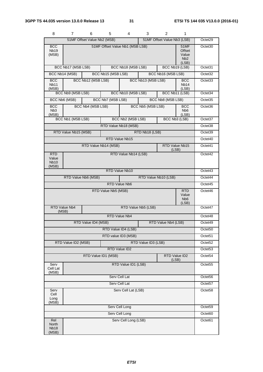| 8                                           | 7.                                                                         | 6                           | 5                   | 4                    | 3                   | 2                           | 1                                                           |                     |
|---------------------------------------------|----------------------------------------------------------------------------|-----------------------------|---------------------|----------------------|---------------------|-----------------------------|-------------------------------------------------------------|---------------------|
|                                             |                                                                            | 51MF Offset Value Nb2 (MSB) |                     |                      |                     | 51MF Offset Value Nb3 (LSB) |                                                             | Octet29             |
| <b>BCC</b><br><b>Nb19</b><br>(MSB)          | 51MF Offset Value Nb1 (MSB LSB)<br>51MF<br>Offset<br>Value<br>Nb2<br>(LSB) |                             |                     |                      |                     |                             | Octet30                                                     |                     |
|                                             | BCC Nb17 (MSB LSB)                                                         |                             |                     | BCC Nb18 (MSB LSB)   |                     |                             | BCC Nb19 (LSB)                                              | Octet31             |
|                                             | BCC Nb14 (MSB)                                                             |                             | BCC Nb15 (MSB LSB)  |                      |                     | BCC Nb16 (MSB LSB)          |                                                             | Octet <sub>32</sub> |
| <b>BCC</b><br>Nb <sub>11</sub><br>(MSB)     |                                                                            | BCC Nb12 (MSB LSB)          |                     |                      | BCC Nb13 (MSB LSB)  |                             | <b>BCC</b><br>Nb <sub>14</sub><br>(LSB)                     | Octet <sub>33</sub> |
|                                             | BCC Nb9 (MSB LSB)                                                          |                             |                     | BCC Nb10 (MSB LSB)   |                     |                             | BCC Nb11 (LSB)                                              | Octet34             |
|                                             | BCC Nb6 (MSB)                                                              |                             | BCC Nb7 (MSB LSB)   |                      |                     | BCC Nb8 (MSB LSB)           |                                                             | Octet <sub>35</sub> |
| BCC<br>N <sub>b</sub> 3<br>(MSB)            |                                                                            | BCC Nb4 (MSB LSB)           |                     |                      | BCC Nb5 (MSB LSB)   |                             | <b>BCC</b><br>N <sub>b</sub> 6<br>(LSB)                     | Octet36             |
|                                             | BCC Nb1 (MSB LSB)                                                          |                             |                     | BCC Nb2 (MSB LSB)    |                     |                             | BCC Nb3 (LSB)                                               | Octet37             |
|                                             |                                                                            |                             |                     | RTD Value Nb18 (MSB) |                     |                             |                                                             | Octet <sub>38</sub> |
|                                             | RTD Value Nb15 (MSB)                                                       |                             |                     |                      | RTD Nb18 (LSB)      |                             |                                                             | Octet39             |
|                                             |                                                                            |                             |                     | RTD Value Nb15       |                     |                             |                                                             | Octet <sub>40</sub> |
|                                             |                                                                            | RTD Value Nb14 (MSB)        |                     |                      |                     |                             | <b>RTD Value Nb15</b><br>(LSB)                              | Octet41             |
| RTD<br>Value<br><b>Nb10</b><br>(MSB)        |                                                                            |                             |                     | RTD Value Nb14 (LSB) |                     |                             |                                                             | Octet42             |
|                                             |                                                                            |                             |                     | RTD Value Nb10       |                     |                             |                                                             | Octet43             |
|                                             |                                                                            | RTD Value Nb6 (MSB)         |                     |                      |                     | RTD Value Nb10 (LSB)        |                                                             | Octet44             |
| RTD Value Nb6                               |                                                                            |                             |                     |                      |                     |                             | Octet45                                                     |                     |
|                                             |                                                                            |                             | RTD Value Nb5 (MSB) |                      |                     |                             | <b>RTD</b><br>Value<br>N <sub>b</sub> <sub>6</sub><br>(LSB) | Octet46             |
| (MSB)                                       | <b>RTD Value Nb4</b>                                                       |                             |                     |                      | RTD Value Nb5 (LSB) |                             |                                                             | Octet47             |
|                                             |                                                                            |                             |                     | RTD Value Nb4        |                     |                             |                                                             | Octet48             |
|                                             |                                                                            | RTD Value ID4 (MSB)         |                     |                      |                     | RTD Value Nb4 (LSB)         |                                                             | Octet49             |
|                                             |                                                                            |                             |                     | RTD Value ID4 (LSB)  |                     |                             |                                                             | Octet50             |
|                                             |                                                                            |                             |                     | RTD value ID3 (MSB)  |                     |                             |                                                             | Octet <sub>51</sub> |
|                                             | RTD Value ID2 (MSB)                                                        |                             |                     |                      | RTD Value ID3 (LSB) |                             |                                                             | Octet52             |
|                                             |                                                                            |                             |                     | RTD Value ID2        |                     |                             |                                                             | Octet53             |
|                                             |                                                                            | RTD Value ID1 (MSB)         |                     |                      |                     |                             | RTD Value ID2<br>(LSB)                                      | Octet54             |
| Serv<br>Cell Lat<br>(MSB)                   |                                                                            |                             |                     | RTD Value ID1 (LSB)  |                     |                             |                                                             | Octet <sub>55</sub> |
| Serv Cell Lat                               |                                                                            |                             |                     |                      |                     |                             | Octet56                                                     |                     |
| Serv Cell Lat                               |                                                                            |                             |                     |                      |                     |                             | Octet57                                                     |                     |
| Serv<br>Cell<br>Long<br>(MSB)               |                                                                            |                             |                     | Serv Cell Lat (LSB)  |                     |                             |                                                             | Octet58             |
|                                             |                                                                            |                             |                     | Serv Cell Long       |                     |                             |                                                             | Octet59             |
|                                             |                                                                            |                             |                     | Serv Cell Long       |                     |                             |                                                             | Octet60             |
| Rel<br><b>North</b><br><b>Nb18</b><br>(MSB) |                                                                            |                             |                     | Serv Cell Long (LSB) |                     |                             |                                                             | Octet61             |

|--|--|--|--|--|--|--|--|--|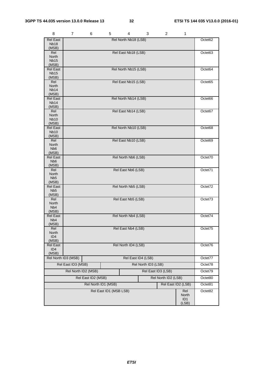| 8                                   | 7                   | 6                   | 5                      | 4                    | 3                   | 2                   | 1                  |         |
|-------------------------------------|---------------------|---------------------|------------------------|----------------------|---------------------|---------------------|--------------------|---------|
| <b>Rel East</b>                     |                     |                     |                        | Rel North Nb18 (LSB) |                     |                     |                    | Octet62 |
| <b>Nb18</b><br>(MSB)                |                     |                     |                        |                      |                     |                     |                    |         |
| Rel                                 |                     |                     |                        | Rel East Nb18 (LSB)  |                     |                     |                    | Octet63 |
| North<br><b>Nb15</b>                |                     |                     |                        |                      |                     |                     |                    |         |
| (MSB)                               |                     |                     |                        |                      |                     |                     |                    |         |
| <b>Rel East</b>                     |                     |                     |                        | Rel North Nb15 (LSB) |                     |                     |                    | Octet64 |
| <b>Nb15</b><br>(MSB)                |                     |                     |                        |                      |                     |                     |                    |         |
| Rel                                 |                     |                     |                        | Rel East Nb15 (LSB)  |                     |                     |                    | Octet65 |
| North                               |                     |                     |                        |                      |                     |                     |                    |         |
| <b>Nb14</b><br>(MSB)                |                     |                     |                        |                      |                     |                     |                    |         |
| <b>Rel East</b>                     |                     |                     |                        | Rel North Nb14 (LSB) |                     |                     |                    | Octet66 |
| <b>Nb14</b>                         |                     |                     |                        |                      |                     |                     |                    |         |
| (MSB)<br>Rel                        |                     |                     |                        | Rel East Nb14 (LSB)  |                     |                     |                    | Octet67 |
| North                               |                     |                     |                        |                      |                     |                     |                    |         |
| <b>Nb10</b><br>(MSB)                |                     |                     |                        |                      |                     |                     |                    |         |
| <b>Rel East</b>                     |                     |                     |                        | Rel North Nb10 (LSB) |                     |                     |                    | Octet68 |
| <b>Nb10</b>                         |                     |                     |                        |                      |                     |                     |                    |         |
| (MSB)<br>Rel                        |                     |                     |                        | Rel East Nb10 (LSB)  |                     |                     |                    | Octet69 |
| North                               |                     |                     |                        |                      |                     |                     |                    |         |
| N <sub>b</sub> 6                    |                     |                     |                        |                      |                     |                     |                    |         |
| (MSB)<br><b>Rel East</b>            |                     |                     |                        | Rel North Nb6 (LSB)  |                     |                     |                    | Octet70 |
| N <sub>b</sub> 6                    |                     |                     |                        |                      |                     |                     |                    |         |
| (MSB)                               |                     |                     |                        |                      |                     |                     |                    |         |
| Rel<br>North                        |                     |                     |                        | Rel East Nb6 (LSB)   |                     |                     |                    | Octet71 |
| N <sub>b5</sub>                     |                     |                     |                        |                      |                     |                     |                    |         |
| (MSB)<br><b>Rel East</b>            |                     |                     |                        | Rel North Nb5 (LSB)  |                     |                     |                    | Octet72 |
| N <sub>b5</sub>                     |                     |                     |                        |                      |                     |                     |                    |         |
| (MSB)                               |                     |                     |                        |                      |                     |                     |                    |         |
| Rel<br>North                        |                     |                     |                        | Rel East Nb5 (LSB)   |                     |                     |                    | Octet73 |
| N <sub>b</sub> 4                    |                     |                     |                        |                      |                     |                     |                    |         |
| (MSB)                               |                     |                     |                        |                      |                     |                     |                    |         |
| <b>Rel East</b><br>N <sub>b</sub> 4 |                     |                     |                        | Rel North Nb4 (LSB)  |                     |                     |                    | Octet74 |
| (MSB)                               |                     |                     |                        |                      |                     |                     |                    |         |
| Rel<br>North                        |                     |                     |                        | Rel East Nb4 (LSB)   |                     |                     |                    | Octet/5 |
| ID4                                 |                     |                     |                        |                      |                     |                     |                    |         |
| (MSB)                               |                     |                     |                        |                      |                     |                     |                    |         |
| <b>Rel East</b><br>ID <sub>4</sub>  |                     |                     |                        | Rel North ID4 (LSB)  |                     |                     |                    | Octet76 |
| (MSB)                               |                     |                     |                        |                      |                     |                     |                    |         |
|                                     | Rel North ID3 (MSB) |                     |                        | Rel East ID4 (LSB)   |                     |                     |                    | Octet77 |
|                                     | Rel East ID3 (MSB)  |                     |                        |                      | Rel North ID3 (LSB) |                     |                    | Octet78 |
|                                     | Rel North ID2 (MSB) |                     |                        |                      |                     | Rel East ID3 (LSB)  |                    | Octet79 |
|                                     |                     | Rel East ID2 (MSB)  |                        |                      |                     | Rel North ID2 (LSB) |                    | Octet80 |
|                                     |                     | Rel North ID1 (MSB) |                        |                      |                     |                     | Rel East ID2 (LSB) | Octet81 |
|                                     |                     |                     | Rel East ID1 (MSB LSB) |                      |                     |                     | Rel                | Octet82 |
|                                     |                     |                     |                        |                      |                     |                     | North              |         |
|                                     |                     |                     |                        |                      |                     |                     | ID1<br>(LSB)       |         |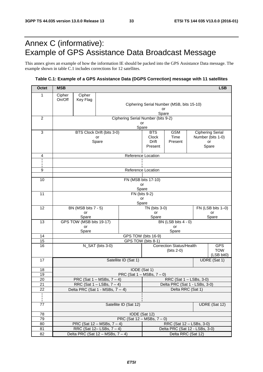# Annex C (informative): Example of GPS Assistance Data Broadcast Message

This annex gives an example of how the information IE should be packed into the GPS Assistance Data message. The example shown in table C.1 includes corrections for 12 satellites.

### **Table C.1: Example of a GPS Assistance Data (DGPS Correction) message with 11 satellites**

| <b>Octet</b>    | <b>MSB</b>                                                     |                                                 |                                        |                                                   |                                                     |                                 |  | <b>LSB</b>               |
|-----------------|----------------------------------------------------------------|-------------------------------------------------|----------------------------------------|---------------------------------------------------|-----------------------------------------------------|---------------------------------|--|--------------------------|
| 1               | Cipher                                                         | Cipher                                          |                                        |                                                   |                                                     |                                 |  |                          |
|                 | On/Off                                                         | Key Flag                                        |                                        |                                                   |                                                     |                                 |  |                          |
|                 |                                                                |                                                 |                                        | Ciphering Serial Number (MSB, bits 15-10)<br>or   |                                                     |                                 |  |                          |
|                 |                                                                |                                                 |                                        |                                                   | Spare                                               |                                 |  |                          |
| $\overline{c}$  |                                                                |                                                 |                                        | Ciphering Serial Number (bits 9-2)<br>or          |                                                     |                                 |  |                          |
|                 |                                                                |                                                 |                                        | Spare                                             |                                                     |                                 |  |                          |
| 3               |                                                                |                                                 | BTS Clock Drift (bits 3-0)             |                                                   | <b>GSM</b><br><b>Ciphering Serial</b><br><b>BTS</b> |                                 |  |                          |
|                 |                                                                |                                                 | or<br>Spare                            |                                                   | Clock<br>Drift                                      | Time<br>Present                 |  | Number (bits 1-0)<br>or  |
|                 |                                                                |                                                 |                                        |                                                   | Present                                             |                                 |  | Spare                    |
|                 |                                                                |                                                 |                                        |                                                   |                                                     |                                 |  |                          |
| 4               |                                                                |                                                 |                                        | Reference Location                                |                                                     |                                 |  |                          |
|                 |                                                                |                                                 |                                        |                                                   |                                                     |                                 |  |                          |
| 9               |                                                                |                                                 |                                        | Reference Location                                |                                                     |                                 |  |                          |
| 10              |                                                                |                                                 |                                        |                                                   | FN (MSB bits 17-10)                                 |                                 |  |                          |
|                 |                                                                |                                                 |                                        |                                                   | or                                                  |                                 |  |                          |
|                 |                                                                |                                                 |                                        | Spare                                             |                                                     |                                 |  |                          |
| 11              |                                                                |                                                 |                                        | FN (bits 9-2)<br>or                               |                                                     |                                 |  |                          |
|                 |                                                                |                                                 |                                        | Spare                                             |                                                     |                                 |  |                          |
| 12              |                                                                | BN (MSB bits 7 - 5)                             |                                        |                                                   | TN (bits 3-0)                                       |                                 |  | FN (LSB bits 1-0)        |
|                 |                                                                | or<br>Spare                                     |                                        |                                                   | or<br>Spare                                         |                                 |  | or<br>Spare              |
| 13              |                                                                | GPS TOW (MSB bits 19-17)                        |                                        |                                                   |                                                     | BN (LSB bits 4 - 0)             |  |                          |
|                 | or                                                             |                                                 |                                        |                                                   |                                                     | or                              |  |                          |
| 14              | Spare<br>Spare<br>GPS TOW (bits 16-9)                          |                                                 |                                        |                                                   |                                                     |                                 |  |                          |
| 15              |                                                                |                                                 |                                        | GPS TOW (bits 8-1)                                |                                                     |                                 |  |                          |
| 16              |                                                                |                                                 | N_SAT (bits 3-0)                       |                                                   |                                                     | <b>Correction Status/Health</b> |  | <b>GPS</b>               |
|                 |                                                                |                                                 |                                        |                                                   |                                                     | $(bits 2-0)$                    |  | <b>TOW</b><br>(LSB bit0) |
| 17              |                                                                |                                                 |                                        | Satellite ID (Sat 1)                              |                                                     |                                 |  | UDRE (Sat 1)             |
|                 |                                                                |                                                 |                                        |                                                   |                                                     |                                 |  |                          |
| 18<br>19        |                                                                | IODE (Sat 1)<br>PRC (Sat $1 - MSBs$ , $7 - 0$ ) |                                        |                                                   |                                                     |                                 |  |                          |
| 20              |                                                                |                                                 | PRC (Sat $1 - MSBs$ , $7 - 4$ )        |                                                   |                                                     | RRC (Sat 1 - LSBs, 3-0)         |  |                          |
| $\overline{21}$ | RRC (Sat $1 -$ LSBs, $7 - 4$ )                                 |                                                 |                                        |                                                   | Delta PRC (Sat 1 - LSBs, 3-0)                       |                                 |  |                          |
| 22              | Delta PRC (Sat $1 - \text{MSBs}, 7 - 4$ )<br>Delta RRC (Sat 1) |                                                 |                                        |                                                   |                                                     |                                 |  |                          |
| i.              |                                                                |                                                 |                                        |                                                   |                                                     |                                 |  |                          |
| 77              |                                                                |                                                 |                                        | Satellite ID (Sat 12)                             |                                                     |                                 |  | UDRE (Sat 12)            |
|                 |                                                                |                                                 |                                        |                                                   |                                                     |                                 |  |                          |
| 78<br>79        |                                                                |                                                 |                                        | IODE (Sat 12)<br>PRC (Sat $12 - MSBs$ , $7 - 0$ ) |                                                     |                                 |  |                          |
| 80              |                                                                |                                                 | PRC (Sat $12 - MSBs$ , $7 - 4$ )       |                                                   |                                                     | RRC (Sat 12 - LSBs, 3-0)        |  |                          |
| 81              |                                                                |                                                 | RRC (Sat $12 -$ LSBs, $7 - 4$ )        |                                                   |                                                     | Delta PRC (Sat 12 - LSBs, 3-0)  |  |                          |
| 82              |                                                                |                                                 | Delta PRC (Sat $12 - MSBs$ , $7 - 4$ ) |                                                   |                                                     | Delta RRC (Sat 12)              |  |                          |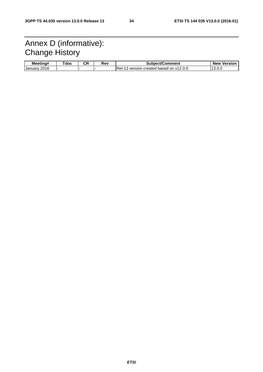# Annex D (informative): Change History

| Meetina#          | Tdoc | Ωn<br>vn. | Rev | Subject/Comment                             | <b>New</b><br>Version |
|-------------------|------|-----------|-----|---------------------------------------------|-----------------------|
| 2016<br>January ' |      |           |     | IRel-<br>3 version created based on v12.0.0 | 10<br>10.U.U          |